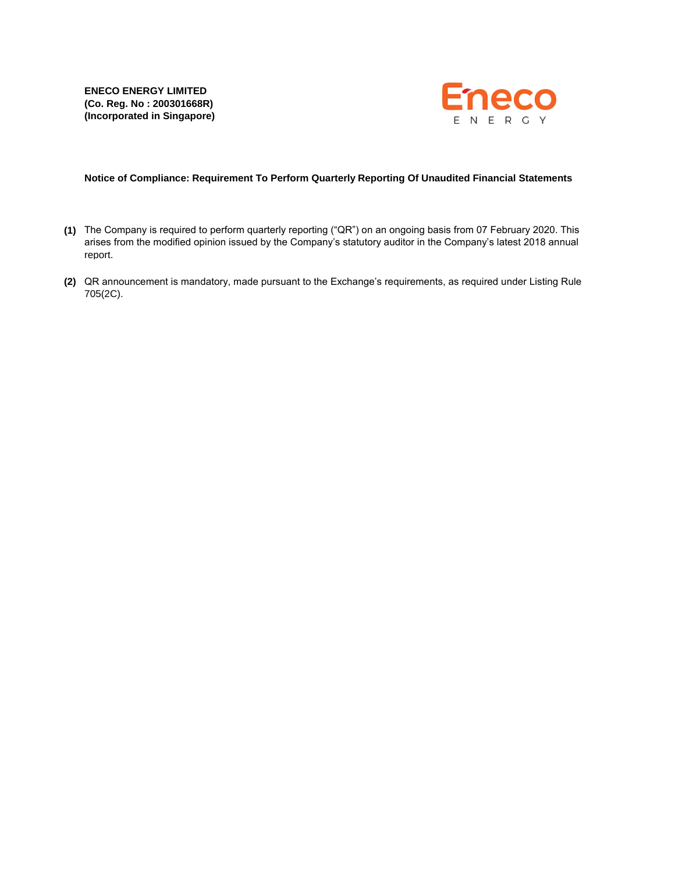

# **Notice of Compliance: Requirement To Perform Quarterly Reporting Of Unaudited Financial Statements**

- **(1)** The Company is required to perform quarterly reporting ("QR") on an ongoing basis from 07 February 2020. This arises from the modified opinion issued by the Company's statutory auditor in the Company's latest 2018 annual report.
- **(2)** QR announcement is mandatory, made pursuant to the Exchange's requirements, as required under Listing Rule 705(2C).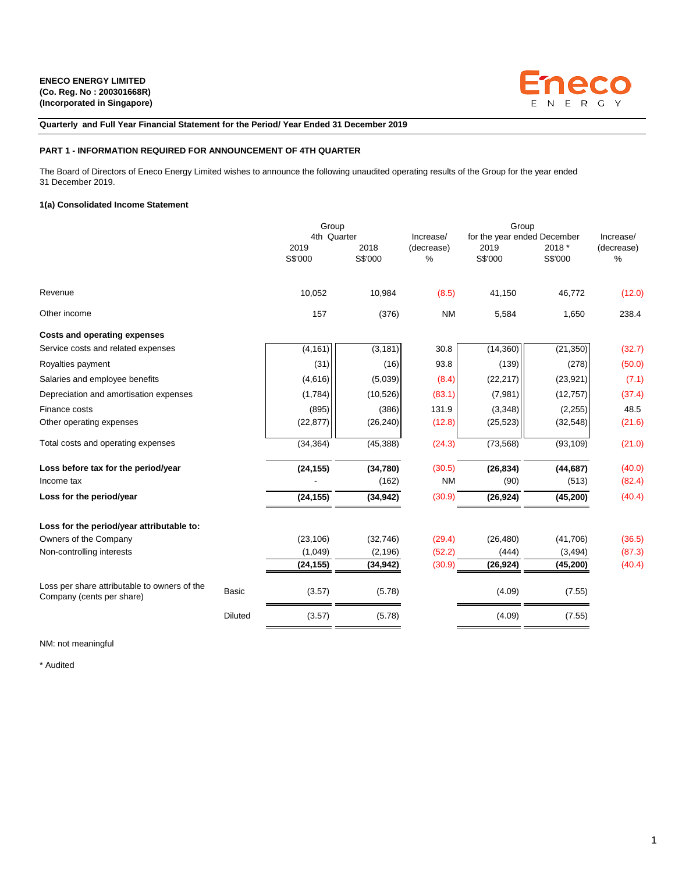

**Quarterly and Full Year Financial Statement for the Period/ Year Ended 31 December 2019**

## **PART 1 - INFORMATION REQUIRED FOR ANNOUNCEMENT OF 4TH QUARTER**

The Board of Directors of Eneco Energy Limited wishes to announce the following unaudited operating results of the Group for the year ended 31 December 2019.

## **1(a) Consolidated Income Statement**

|                                                                           |                | Group                          |                 |                              | Group                                          |                   |                              |
|---------------------------------------------------------------------------|----------------|--------------------------------|-----------------|------------------------------|------------------------------------------------|-------------------|------------------------------|
|                                                                           |                | 4th Quarter<br>2019<br>S\$'000 | 2018<br>S\$'000 | Increase/<br>(decrease)<br>% | for the year ended December<br>2019<br>S\$'000 | 2018 *<br>S\$'000 | Increase/<br>(decrease)<br>% |
| Revenue                                                                   |                | 10,052                         | 10,984          | (8.5)                        | 41,150                                         | 46,772            | (12.0)                       |
| Other income                                                              |                | 157                            | (376)           | <b>NM</b>                    | 5,584                                          | 1,650             | 238.4                        |
| Costs and operating expenses                                              |                |                                |                 |                              |                                                |                   |                              |
| Service costs and related expenses                                        |                | (4, 161)                       | (3, 181)        | 30.8                         | (14, 360)                                      | (21, 350)         | (32.7)                       |
| Royalties payment                                                         |                | (31)                           | (16)            | 93.8                         | (139)                                          | (278)             | (50.0)                       |
| Salaries and employee benefits                                            |                | (4,616)                        | (5,039)         | (8.4)                        | (22, 217)                                      | (23, 921)         | (7.1)                        |
| Depreciation and amortisation expenses                                    |                | (1,784)                        | (10, 526)       | (83.1)                       | (7,981)                                        | (12, 757)         | (37.4)                       |
| Finance costs                                                             |                | (895)                          | (386)           | 131.9                        | (3, 348)                                       | (2, 255)          | 48.5                         |
| Other operating expenses                                                  |                | (22, 877)                      | (26, 240)       | (12.8)                       | (25, 523)                                      | (32, 548)         | (21.6)                       |
| Total costs and operating expenses                                        |                | (34, 364)                      | (45, 388)       | (24.3)                       | (73, 568)                                      | (93, 109)         | (21.0)                       |
| Loss before tax for the period/year                                       |                | (24, 155)                      | (34,780)        | (30.5)                       | (26, 834)                                      | (44, 687)         | (40.0)                       |
| Income tax                                                                |                |                                | (162)           | <b>NM</b>                    | (90)                                           | (513)             | (82.4)                       |
| Loss for the period/year                                                  |                | (24, 155)                      | (34, 942)       | (30.9)                       | (26, 924)                                      | (45, 200)         | (40.4)                       |
| Loss for the period/year attributable to:                                 |                |                                |                 |                              |                                                |                   |                              |
| Owners of the Company                                                     |                | (23, 106)                      | (32, 746)       | (29.4)                       | (26, 480)                                      | (41,706)          | (36.5)                       |
| Non-controlling interests                                                 |                | (1,049)                        | (2, 196)        | (52.2)                       | (444)                                          | (3, 494)          | (87.3)                       |
|                                                                           |                | (24, 155)                      | (34,942)        | (30.9)                       | (26, 924)                                      | (45, 200)         | (40.4)                       |
| Loss per share attributable to owners of the<br>Company (cents per share) | <b>Basic</b>   | (3.57)                         | (5.78)          |                              | (4.09)                                         | (7.55)            |                              |
|                                                                           | <b>Diluted</b> | (3.57)                         | (5.78)          |                              | (4.09)                                         | (7.55)            |                              |
|                                                                           |                |                                |                 |                              |                                                |                   |                              |

NM: not meaningful

\* Audited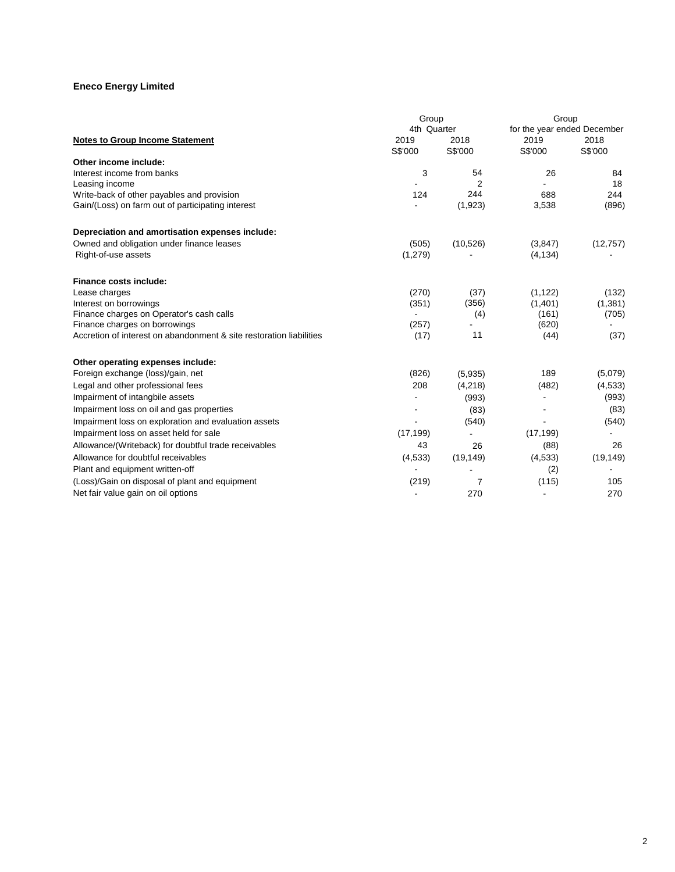| 4th Quarter<br>for the year ended December<br>2019<br>2019<br>2018<br>2018<br><b>Notes to Group Income Statement</b><br>S\$'000<br>S\$'000<br>S\$'000<br>S\$'000<br>Other income include:<br>Interest income from banks<br>3<br>54<br>26<br>84<br>$\overline{2}$<br>18<br>Leasing income<br>244<br>688<br>244<br>Write-back of other payables and provision<br>124<br>Gain/(Loss) on farm out of participating interest<br>(1,923)<br>3,538<br>(896)<br>Depreciation and amortisation expenses include:<br>Owned and obligation under finance leases<br>(10, 526)<br>(505)<br>(3,847)<br>(12, 757)<br>Right-of-use assets<br>(1,279)<br>(4, 134)<br><b>Finance costs include:</b><br>(270)<br>(37)<br>(1, 122)<br>(132)<br>Lease charges<br>(1,401)<br>Interest on borrowings<br>(351)<br>(1,381)<br>(356)<br>Finance charges on Operator's cash calls<br>(4)<br>(161)<br>(705)<br>Finance charges on borrowings<br>(620)<br>(257) |
|------------------------------------------------------------------------------------------------------------------------------------------------------------------------------------------------------------------------------------------------------------------------------------------------------------------------------------------------------------------------------------------------------------------------------------------------------------------------------------------------------------------------------------------------------------------------------------------------------------------------------------------------------------------------------------------------------------------------------------------------------------------------------------------------------------------------------------------------------------------------------------------------------------------------------------|
|                                                                                                                                                                                                                                                                                                                                                                                                                                                                                                                                                                                                                                                                                                                                                                                                                                                                                                                                    |
|                                                                                                                                                                                                                                                                                                                                                                                                                                                                                                                                                                                                                                                                                                                                                                                                                                                                                                                                    |
|                                                                                                                                                                                                                                                                                                                                                                                                                                                                                                                                                                                                                                                                                                                                                                                                                                                                                                                                    |
|                                                                                                                                                                                                                                                                                                                                                                                                                                                                                                                                                                                                                                                                                                                                                                                                                                                                                                                                    |
|                                                                                                                                                                                                                                                                                                                                                                                                                                                                                                                                                                                                                                                                                                                                                                                                                                                                                                                                    |
|                                                                                                                                                                                                                                                                                                                                                                                                                                                                                                                                                                                                                                                                                                                                                                                                                                                                                                                                    |
|                                                                                                                                                                                                                                                                                                                                                                                                                                                                                                                                                                                                                                                                                                                                                                                                                                                                                                                                    |
|                                                                                                                                                                                                                                                                                                                                                                                                                                                                                                                                                                                                                                                                                                                                                                                                                                                                                                                                    |
|                                                                                                                                                                                                                                                                                                                                                                                                                                                                                                                                                                                                                                                                                                                                                                                                                                                                                                                                    |
|                                                                                                                                                                                                                                                                                                                                                                                                                                                                                                                                                                                                                                                                                                                                                                                                                                                                                                                                    |
|                                                                                                                                                                                                                                                                                                                                                                                                                                                                                                                                                                                                                                                                                                                                                                                                                                                                                                                                    |
|                                                                                                                                                                                                                                                                                                                                                                                                                                                                                                                                                                                                                                                                                                                                                                                                                                                                                                                                    |
|                                                                                                                                                                                                                                                                                                                                                                                                                                                                                                                                                                                                                                                                                                                                                                                                                                                                                                                                    |
|                                                                                                                                                                                                                                                                                                                                                                                                                                                                                                                                                                                                                                                                                                                                                                                                                                                                                                                                    |
|                                                                                                                                                                                                                                                                                                                                                                                                                                                                                                                                                                                                                                                                                                                                                                                                                                                                                                                                    |
|                                                                                                                                                                                                                                                                                                                                                                                                                                                                                                                                                                                                                                                                                                                                                                                                                                                                                                                                    |
| Accretion of interest on abandonment & site restoration liabilities<br>11<br>(37)<br>(17)<br>(44)                                                                                                                                                                                                                                                                                                                                                                                                                                                                                                                                                                                                                                                                                                                                                                                                                                  |
| Other operating expenses include:                                                                                                                                                                                                                                                                                                                                                                                                                                                                                                                                                                                                                                                                                                                                                                                                                                                                                                  |
| 189<br>Foreign exchange (loss)/gain, net<br>(826)<br>(5,079)<br>(5,935)                                                                                                                                                                                                                                                                                                                                                                                                                                                                                                                                                                                                                                                                                                                                                                                                                                                            |
| Legal and other professional fees<br>208<br>(482)<br>(4, 218)<br>(4, 533)                                                                                                                                                                                                                                                                                                                                                                                                                                                                                                                                                                                                                                                                                                                                                                                                                                                          |
| Impairment of intangbile assets<br>(993)<br>(993)                                                                                                                                                                                                                                                                                                                                                                                                                                                                                                                                                                                                                                                                                                                                                                                                                                                                                  |
| Impairment loss on oil and gas properties<br>(83)<br>(83)                                                                                                                                                                                                                                                                                                                                                                                                                                                                                                                                                                                                                                                                                                                                                                                                                                                                          |
| Impairment loss on exploration and evaluation assets<br>(540)<br>(540)                                                                                                                                                                                                                                                                                                                                                                                                                                                                                                                                                                                                                                                                                                                                                                                                                                                             |
| Impairment loss on asset held for sale<br>(17, 199)<br>(17, 199)                                                                                                                                                                                                                                                                                                                                                                                                                                                                                                                                                                                                                                                                                                                                                                                                                                                                   |
| 43<br>26<br>Allowance/(Writeback) for doubtful trade receivables<br>26<br>(88)                                                                                                                                                                                                                                                                                                                                                                                                                                                                                                                                                                                                                                                                                                                                                                                                                                                     |
| Allowance for doubtful receivables<br>(4,533)<br>(19, 149)<br>(4,533)<br>(19, 149)                                                                                                                                                                                                                                                                                                                                                                                                                                                                                                                                                                                                                                                                                                                                                                                                                                                 |
| Plant and equipment written-off<br>(2)                                                                                                                                                                                                                                                                                                                                                                                                                                                                                                                                                                                                                                                                                                                                                                                                                                                                                             |
| (Loss)/Gain on disposal of plant and equipment<br>(219)<br>(115)<br>105<br>7                                                                                                                                                                                                                                                                                                                                                                                                                                                                                                                                                                                                                                                                                                                                                                                                                                                       |
| Net fair value gain on oil options<br>270<br>270                                                                                                                                                                                                                                                                                                                                                                                                                                                                                                                                                                                                                                                                                                                                                                                                                                                                                   |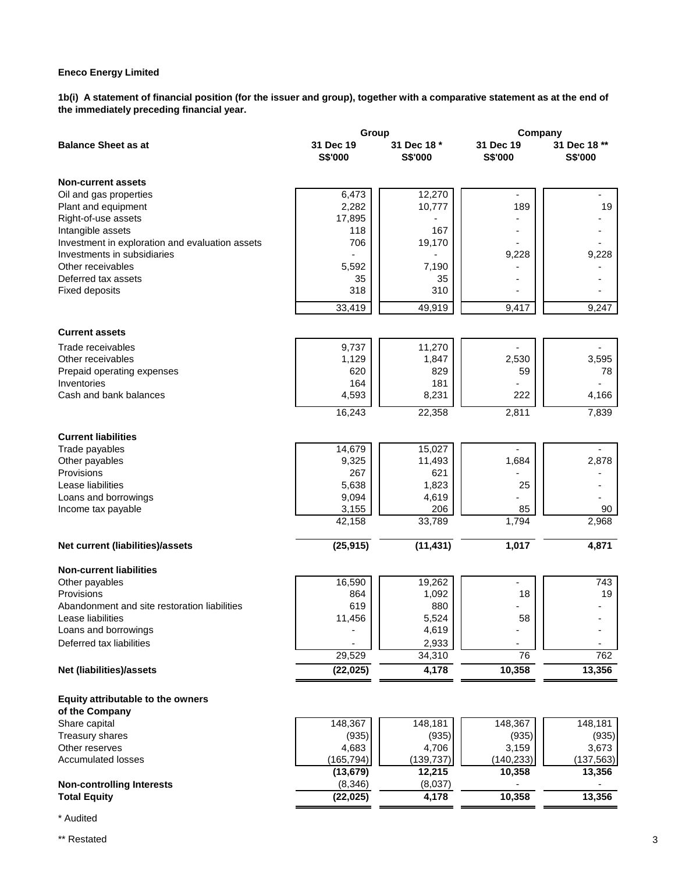**1b(i) A statement of financial position (for the issuer and group), together with a comparative statement as at the end of the immediately preceding financial year.**

|                                                 | Group      |             | Company                  |              |  |  |
|-------------------------------------------------|------------|-------------|--------------------------|--------------|--|--|
| <b>Balance Sheet as at</b>                      | 31 Dec 19  | 31 Dec 18 * | 31 Dec 19                | 31 Dec 18 ** |  |  |
|                                                 | S\$'000    | S\$'000     | S\$'000                  | S\$'000      |  |  |
| <b>Non-current assets</b>                       |            |             |                          |              |  |  |
| Oil and gas properties                          | 6,473      | 12,270      | $\overline{\phantom{a}}$ |              |  |  |
| Plant and equipment                             | 2,282      | 10,777      | 189                      | 19           |  |  |
| Right-of-use assets                             | 17,895     |             |                          |              |  |  |
| Intangible assets                               | 118        | 167         |                          |              |  |  |
| Investment in exploration and evaluation assets | 706        | 19,170      |                          |              |  |  |
| Investments in subsidiaries                     |            |             | 9,228                    | 9,228        |  |  |
| Other receivables                               | 5,592      | 7,190       |                          |              |  |  |
| Deferred tax assets                             | 35         | 35          |                          |              |  |  |
| <b>Fixed deposits</b>                           | 318        | 310         |                          |              |  |  |
|                                                 | 33,419     | 49,919      | 9,417                    | 9,247        |  |  |
| <b>Current assets</b>                           |            |             |                          |              |  |  |
| Trade receivables                               | 9,737      | 11,270      |                          |              |  |  |
| Other receivables                               | 1,129      | 1,847       | 2,530                    | 3,595        |  |  |
| Prepaid operating expenses                      | 620        | 829         | 59                       | 78           |  |  |
| Inventories                                     | 164        | 181         |                          |              |  |  |
| Cash and bank balances                          | 4,593      | 8,231       | 222                      | 4,166        |  |  |
|                                                 | 16,243     | 22,358      | 2,811                    | 7,839        |  |  |
|                                                 |            |             |                          |              |  |  |
| <b>Current liabilities</b>                      |            |             |                          |              |  |  |
| Trade payables                                  | 14,679     | 15,027      |                          |              |  |  |
| Other payables                                  | 9,325      | 11,493      | 1,684                    | 2,878        |  |  |
| Provisions                                      | 267        | 621         |                          |              |  |  |
| Lease liabilities                               | 5,638      | 1,823       | 25                       |              |  |  |
| Loans and borrowings                            | 9,094      | 4,619       |                          |              |  |  |
| Income tax payable                              | 3,155      | 206         | 85                       | 90           |  |  |
|                                                 | 42,158     | 33,789      | 1,794                    | 2,968        |  |  |
| Net current (liabilities)/assets                | (25, 915)  | (11, 431)   | 1,017                    | 4,871        |  |  |
| <b>Non-current liabilities</b>                  |            |             |                          |              |  |  |
| Other payables                                  | 16,590     | 19,262      | ٠                        | 743          |  |  |
| Provisions                                      | 864        | 1,092       | 18                       | 19           |  |  |
| Abandonment and site restoration liabilities    | 619        | 880         |                          |              |  |  |
| Lease liabilities                               | 11,456     | 5,524       | 58                       |              |  |  |
| Loans and borrowings                            |            | 4,619       |                          |              |  |  |
| Deferred tax liabilities                        |            | 2,933       |                          |              |  |  |
|                                                 | 29,529     | 34,310      | 76                       | 762          |  |  |
| Net (liabilities)/assets                        | (22, 025)  | 4,178       | 10,358                   | 13,356       |  |  |
| Equity attributable to the owners               |            |             |                          |              |  |  |
| of the Company                                  |            |             |                          |              |  |  |
| Share capital                                   | 148,367    | 148,181     | 148,367                  | 148,181      |  |  |
| Treasury shares                                 | (935)      | (935)       | (935)                    | (935)        |  |  |
| Other reserves                                  | 4,683      | 4,706       | 3,159                    | 3,673        |  |  |
| <b>Accumulated losses</b>                       | (165, 794) | (139, 737)  | (140, 233)               | (137, 563)   |  |  |
|                                                 | (13, 679)  | 12,215      | 10,358                   | 13,356       |  |  |
| <b>Non-controlling Interests</b>                | (8, 346)   | (8,037)     |                          |              |  |  |
| <b>Total Equity</b>                             | (22, 025)  | 4,178       | 10,358                   | 13,356       |  |  |

\* Audited

\*\* Restated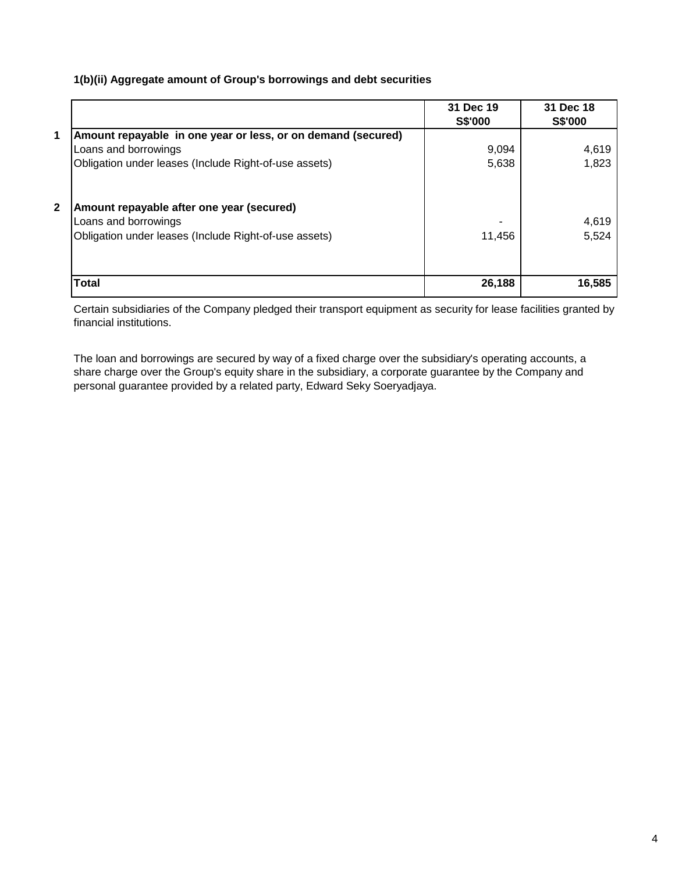# **1(b)(ii) Aggregate amount of Group's borrowings and debt securities**

|              |                                                              | 31 Dec 19<br><b>S\$'000</b> | 31 Dec 18<br><b>S\$'000</b> |
|--------------|--------------------------------------------------------------|-----------------------------|-----------------------------|
| 1            | Amount repayable in one year or less, or on demand (secured) |                             |                             |
|              | Loans and borrowings                                         | 9,094                       | 4,619                       |
|              | Obligation under leases (Include Right-of-use assets)        | 5,638                       | 1,823                       |
| $\mathbf{2}$ | Amount repayable after one year (secured)                    |                             |                             |
|              | Loans and borrowings                                         |                             | 4,619                       |
|              | Obligation under leases (Include Right-of-use assets)        | 11,456                      | 5,524                       |
|              | Total                                                        | 26,188                      | 16,585                      |

Certain subsidiaries of the Company pledged their transport equipment as security for lease facilities granted by financial institutions.

The loan and borrowings are secured by way of a fixed charge over the subsidiary's operating accounts, a share charge over the Group's equity share in the subsidiary, a corporate guarantee by the Company and personal guarantee provided by a related party, Edward Seky Soeryadjaya.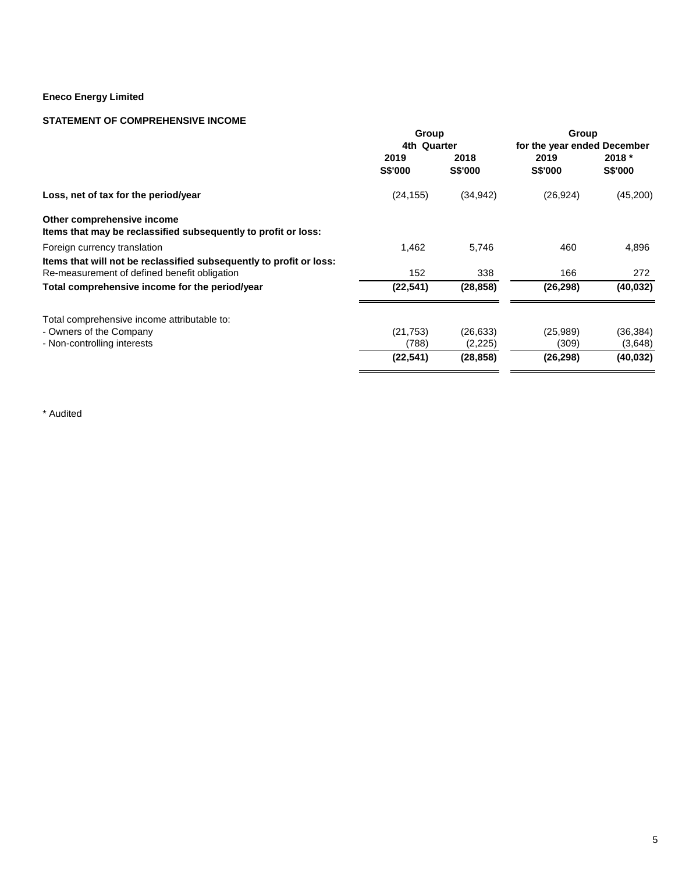# **STATEMENT OF COMPREHENSIVE INCOME**

|                                                                                              | Group                  |                        | Group                       |                   |  |  |
|----------------------------------------------------------------------------------------------|------------------------|------------------------|-----------------------------|-------------------|--|--|
|                                                                                              | 4th Quarter            |                        | for the year ended December |                   |  |  |
|                                                                                              | 2019<br><b>S\$'000</b> | 2018<br><b>S\$'000</b> | 2019<br><b>S\$'000</b>      | 2018 *<br>S\$'000 |  |  |
| Loss, net of tax for the period/year                                                         | (24, 155)              | (34, 942)              | (26, 924)                   | (45,200)          |  |  |
| Other comprehensive income<br>Items that may be reclassified subsequently to profit or loss: |                        |                        |                             |                   |  |  |
| Foreign currency translation                                                                 | 1,462                  | 5,746                  | 460                         | 4,896             |  |  |
| Items that will not be reclassified subsequently to profit or loss:                          |                        |                        |                             |                   |  |  |
| Re-measurement of defined benefit obligation                                                 | 152                    | 338                    | 166                         | 272               |  |  |
| Total comprehensive income for the period/year                                               | (22, 541)              | (28, 858)              | (26, 298)                   | (40, 032)         |  |  |
| Total comprehensive income attributable to:                                                  |                        |                        |                             |                   |  |  |
| - Owners of the Company                                                                      | (21, 753)              | (26, 633)              | (25, 989)                   | (36, 384)         |  |  |
| - Non-controlling interests                                                                  | (788)                  | (2,225)                | (309)                       | (3,648)           |  |  |
|                                                                                              | (22, 541)              | (28, 858)              | (26, 298)                   | (40,032)          |  |  |
|                                                                                              |                        |                        |                             |                   |  |  |

\* Audited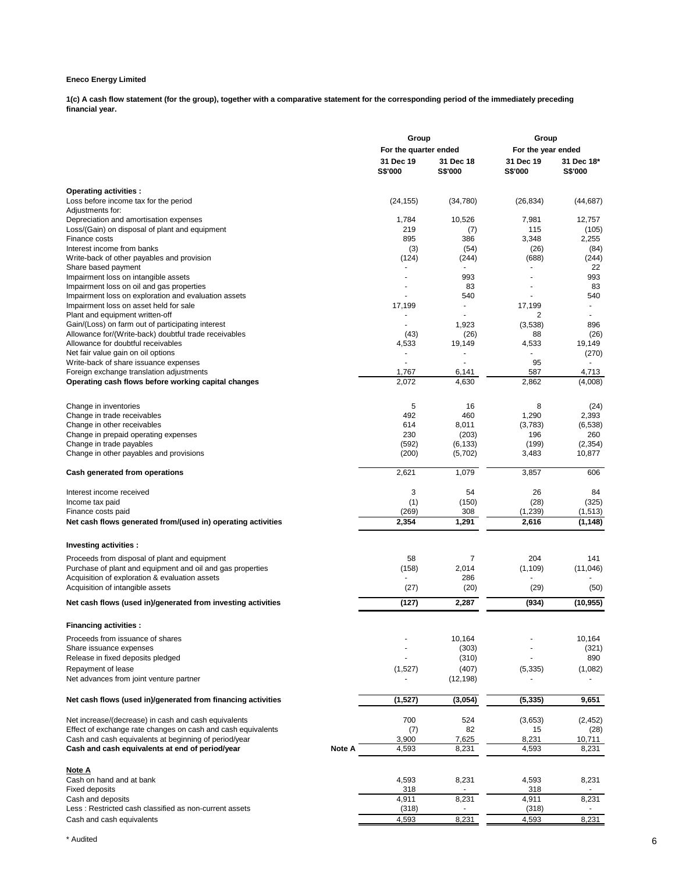**1(c) A cash flow statement (for the group), together with a comparative statement for the corresponding period of the immediately preceding financial year.**

|                                                                                   |        | Group                       |                             | Group                       |                       |
|-----------------------------------------------------------------------------------|--------|-----------------------------|-----------------------------|-----------------------------|-----------------------|
|                                                                                   |        | For the quarter ended       |                             | For the year ended          |                       |
|                                                                                   |        | 31 Dec 19<br><b>S\$'000</b> | 31 Dec 18<br><b>S\$'000</b> | 31 Dec 19<br><b>S\$'000</b> | 31 Dec 18*<br>S\$'000 |
| Operating activities :                                                            |        |                             |                             |                             |                       |
| Loss before income tax for the period                                             |        | (24, 155)                   | (34,780)                    | (26, 834)                   | (44, 687)             |
| Adjustments for:                                                                  |        |                             |                             |                             |                       |
| Depreciation and amortisation expenses                                            |        | 1,784                       | 10,526                      | 7,981                       | 12,757                |
| Loss/(Gain) on disposal of plant and equipment                                    |        | 219                         | (7)                         | 115                         | (105)                 |
| Finance costs                                                                     |        | 895                         | 386                         | 3,348                       | 2,255                 |
| Interest income from banks                                                        |        | (3)                         | (54)                        | (26)                        | (84)                  |
| Write-back of other payables and provision                                        |        | (124)                       | (244)                       | (688)                       | (244)                 |
| Share based payment                                                               |        | $\overline{a}$              | 993                         |                             | 22<br>993             |
| Impairment loss on intangible assets<br>Impairment loss on oil and gas properties |        | ٠                           | 83                          |                             | 83                    |
| Impairment loss on exploration and evaluation assets                              |        |                             | 540                         |                             | 540                   |
| Impairment loss on asset held for sale                                            |        | 17,199                      |                             | 17,199                      |                       |
| Plant and equipment written-off                                                   |        |                             |                             | 2                           |                       |
| Gain/(Loss) on farm out of participating interest                                 |        |                             | 1,923                       | (3,538)                     | 896                   |
| Allowance for/(Write-back) doubtful trade receivables                             |        | (43)                        | (26)                        | 88                          | (26)                  |
| Allowance for doubtful receivables                                                |        | 4,533                       | 19,149                      | 4,533                       | 19,149                |
| Net fair value gain on oil options                                                |        | $\blacksquare$              |                             |                             | (270)                 |
| Write-back of share issuance expenses                                             |        | $\sim$                      | $\ddot{\phantom{1}}$        | 95                          |                       |
| Foreign exchange translation adjustments                                          |        | 1,767                       | 6,141                       | 587                         | 4,713                 |
| Operating cash flows before working capital changes                               |        | 2,072                       | 4,630                       | 2,862                       | (4,008)               |
|                                                                                   |        |                             |                             |                             |                       |
| Change in inventories                                                             |        | 5<br>492                    | 16<br>460                   | 8                           | (24)                  |
| Change in trade receivables<br>Change in other receivables                        |        | 614                         | 8,011                       | 1,290<br>(3,783)            | 2,393<br>(6, 538)     |
| Change in prepaid operating expenses                                              |        | 230                         | (203)                       | 196                         | 260                   |
| Change in trade payables                                                          |        | (592)                       | (6, 133)                    | (199)                       | (2, 354)              |
| Change in other payables and provisions                                           |        | (200)                       | (5,702)                     | 3,483                       | 10,877                |
| Cash generated from operations                                                    |        | 2,621                       | 1,079                       | 3,857                       | 606                   |
|                                                                                   |        |                             |                             |                             |                       |
| Interest income received                                                          |        | 3                           | 54<br>(150)                 | 26<br>(28)                  | 84<br>(325)           |
| Income tax paid<br>Finance costs paid                                             |        | (1)<br>(269)                | 308                         | (1,239)                     | (1, 513)              |
| Net cash flows generated from/(used in) operating activities                      |        | 2,354                       | 1,291                       | 2,616                       | (1, 148)              |
|                                                                                   |        |                             |                             |                             |                       |
| Investing activities :                                                            |        |                             |                             |                             |                       |
| Proceeds from disposal of plant and equipment                                     |        | 58                          | 7                           | 204                         | 141                   |
| Purchase of plant and equipment and oil and gas properties                        |        | (158)                       | 2,014                       | (1, 109)                    | (11,046)              |
| Acquisition of exploration & evaluation assets                                    |        |                             | 286                         |                             |                       |
| Acquisition of intangible assets                                                  |        | (27)                        | (20)                        | (29)                        | (50)                  |
| Net cash flows (used in)/generated from investing activities                      |        | (127)                       | 2,287                       | (934)                       | (10, 955)             |
| <b>Financing activities:</b>                                                      |        |                             |                             |                             |                       |
| Proceeds from issuance of shares                                                  |        |                             | 10,164                      |                             | 10,164                |
| Share issuance expenses                                                           |        |                             | (303)                       |                             | (321)                 |
| Release in fixed deposits pledged                                                 |        |                             | (310)                       |                             | 890                   |
| Repayment of lease                                                                |        | (1,527)                     | (407)                       | (5, 335)                    | (1,082)               |
| Net advances from joint venture partner                                           |        |                             | (12, 198)                   |                             |                       |
| Net cash flows (used in)/generated from financing activities                      |        | (1,527)                     | (3,054)                     | (5, 335)                    | 9,651                 |
| Net increase/(decrease) in cash and cash equivalents                              |        | 700                         | 524                         | (3,653)                     | (2, 452)              |
| Effect of exchange rate changes on cash and cash equivalents                      |        | (7)                         | 82                          | 15                          | (28)                  |
| Cash and cash equivalents at beginning of period/year                             |        | 3,900                       | 7,625                       | 8,231                       | 10,711                |
| Cash and cash equivalents at end of period/year                                   | Note A | 4,593                       | 8,231                       | 4,593                       | 8,231                 |
| <u>Note A</u>                                                                     |        |                             |                             |                             |                       |
| Cash on hand and at bank                                                          |        | 4,593                       | 8,231                       | 4,593                       | 8,231                 |
| <b>Fixed deposits</b>                                                             |        | 318                         |                             | 318                         |                       |
| Cash and deposits                                                                 |        | 4,911                       | 8,231                       | 4,911                       | 8,231                 |
| Less: Restricted cash classified as non-current assets                            |        | (318)                       |                             | (318)                       |                       |
| Cash and cash equivalents                                                         |        | 4,593                       | 8,231                       | 4,593                       | 8,231                 |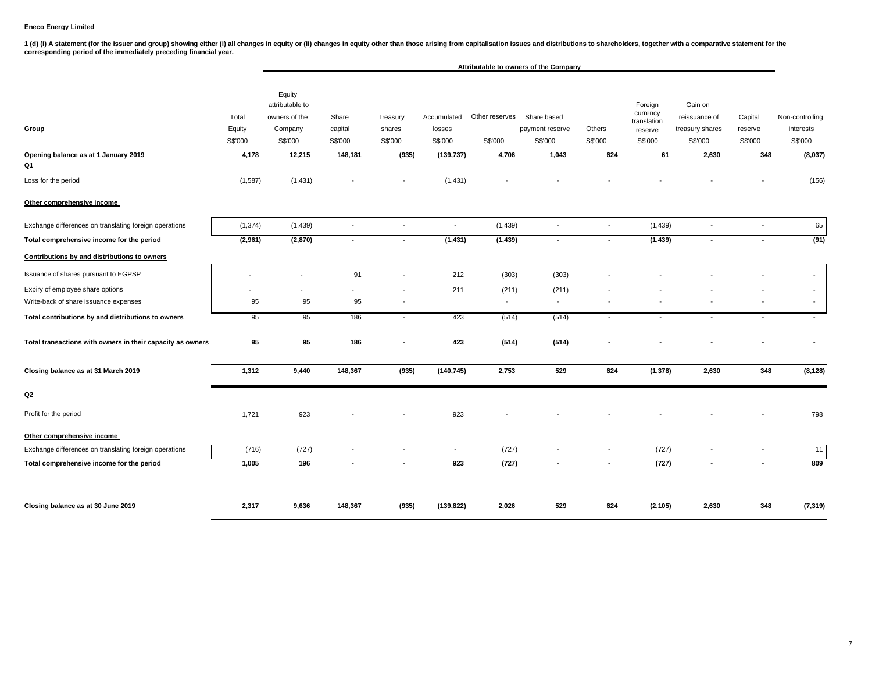1 (d) (i) A statement (for the issuer and group) showing either (i) all changes in equity or (ii) changes in equity other than those arising from capitalisation issues and distributions to shareholders, together with a com

|                                                            |                            |                                                                  |                             |                               |                                  |                           | Attributable to owners of the Company     |                          |                                                          |                                                        |                               |                                         |
|------------------------------------------------------------|----------------------------|------------------------------------------------------------------|-----------------------------|-------------------------------|----------------------------------|---------------------------|-------------------------------------------|--------------------------|----------------------------------------------------------|--------------------------------------------------------|-------------------------------|-----------------------------------------|
| Group                                                      | Total<br>Equity<br>S\$'000 | Equity<br>attributable to<br>owners of the<br>Company<br>S\$'000 | Share<br>capital<br>S\$'000 | Treasury<br>shares<br>S\$'000 | Accumulated<br>losses<br>S\$'000 | Other reserves<br>S\$'000 | Share based<br>payment reserve<br>S\$'000 | Others<br>S\$'000        | Foreign<br>currency<br>translation<br>reserve<br>S\$'000 | Gain on<br>reissuance of<br>treasury shares<br>S\$'000 | Capital<br>reserve<br>S\$'000 | Non-controlling<br>interests<br>S\$'000 |
| Opening balance as at 1 January 2019                       | 4,178                      | 12,215                                                           | 148,181                     | (935)                         | (139, 737)                       | 4,706                     | 1,043                                     | 624                      | 61                                                       | 2,630                                                  | 348                           | (8,037)                                 |
| Q1                                                         |                            |                                                                  |                             |                               |                                  |                           |                                           |                          |                                                          |                                                        |                               |                                         |
| Loss for the period                                        | (1,587)                    | (1, 431)                                                         |                             |                               | (1, 431)                         | $\blacksquare$            |                                           |                          |                                                          |                                                        | $\blacksquare$                | (156)                                   |
| Other comprehensive income                                 |                            |                                                                  |                             |                               |                                  |                           |                                           |                          |                                                          |                                                        |                               |                                         |
| Exchange differences on translating foreign operations     | (1, 374)                   | (1, 439)                                                         | $\overline{\phantom{a}}$    | $\blacksquare$                | $\blacksquare$                   | (1,439)                   | $\overline{\phantom{a}}$                  | $\overline{\phantom{a}}$ | (1, 439)                                                 |                                                        | $\sim$                        | 65                                      |
| Total comprehensive income for the period                  | (2,961)                    | (2,870)                                                          | $\sim$                      | $\overline{\phantom{a}}$      | (1, 431)                         | (1, 439)                  | $\sim$                                    | $\sim$                   | (1, 439)                                                 | $\overline{\phantom{a}}$                               | $\sim$                        | (91)                                    |
| Contributions by and distributions to owners               |                            |                                                                  |                             |                               |                                  |                           |                                           |                          |                                                          |                                                        |                               |                                         |
| Issuance of shares pursuant to EGPSP                       | $\overline{a}$             | $\overline{a}$                                                   | 91                          | $\blacksquare$                | 212                              | (303)                     | (303)                                     |                          |                                                          |                                                        | $\blacksquare$                | $\overline{\phantom{a}}$                |
| Expiry of employee share options                           |                            |                                                                  |                             |                               | 211                              | (211)                     | (211)                                     |                          |                                                          |                                                        | $\overline{\phantom{a}}$      | $\overline{\phantom{a}}$                |
| Write-back of share issuance expenses                      | 95                         | 95                                                               | 95                          | $\overline{\phantom{a}}$      |                                  | $\overline{\phantom{a}}$  | $\overline{\phantom{a}}$                  |                          |                                                          |                                                        | $\blacksquare$                | $\overline{\phantom{a}}$                |
| Total contributions by and distributions to owners         | 95                         | 95                                                               | 186                         | $\overline{\phantom{a}}$      | 423                              | (514)                     | (514)                                     | $\overline{\phantom{a}}$ | $\overline{\phantom{a}}$                                 | $\overline{\phantom{a}}$                               | $\overline{\phantom{a}}$      | $\overline{\phantom{a}}$                |
| Total transactions with owners in their capacity as owners | 95                         | 95                                                               | 186                         |                               | 423                              | (514)                     | (514)                                     |                          |                                                          |                                                        |                               |                                         |
| Closing balance as at 31 March 2019                        | 1,312                      | 9,440                                                            | 148,367                     | (935)                         | (140, 745)                       | 2,753                     | 529                                       | 624                      | (1,378)                                                  | 2,630                                                  | 348                           | (8, 128)                                |
| Q2                                                         |                            |                                                                  |                             |                               |                                  |                           |                                           |                          |                                                          |                                                        |                               |                                         |
| Profit for the period                                      | 1,721                      | 923                                                              |                             |                               | 923                              |                           |                                           |                          |                                                          |                                                        |                               | 798                                     |
| Other comprehensive income                                 |                            |                                                                  |                             |                               |                                  |                           |                                           |                          |                                                          |                                                        |                               |                                         |
| Exchange differences on translating foreign operations     | (716)                      | (727)                                                            | $\blacksquare$              | $\sim$                        | $\sim$                           | (727)                     | $\overline{\phantom{a}}$                  | $\sim$                   | (727)                                                    | $\sim$                                                 | $\sim$                        | 11                                      |
| Total comprehensive income for the period                  | 1,005                      | 196                                                              | $\blacksquare$              | ٠                             | 923                              | (727)                     | $\sim$                                    | $\sim$                   | (727)                                                    | $\overline{\phantom{a}}$                               | $\blacksquare$                | 809                                     |
| Closing balance as at 30 June 2019                         | 2,317                      | 9,636                                                            | 148,367                     | (935)                         | (139, 822)                       | 2,026                     | 529                                       | 624                      | (2, 105)                                                 | 2,630                                                  | 348                           | (7, 319)                                |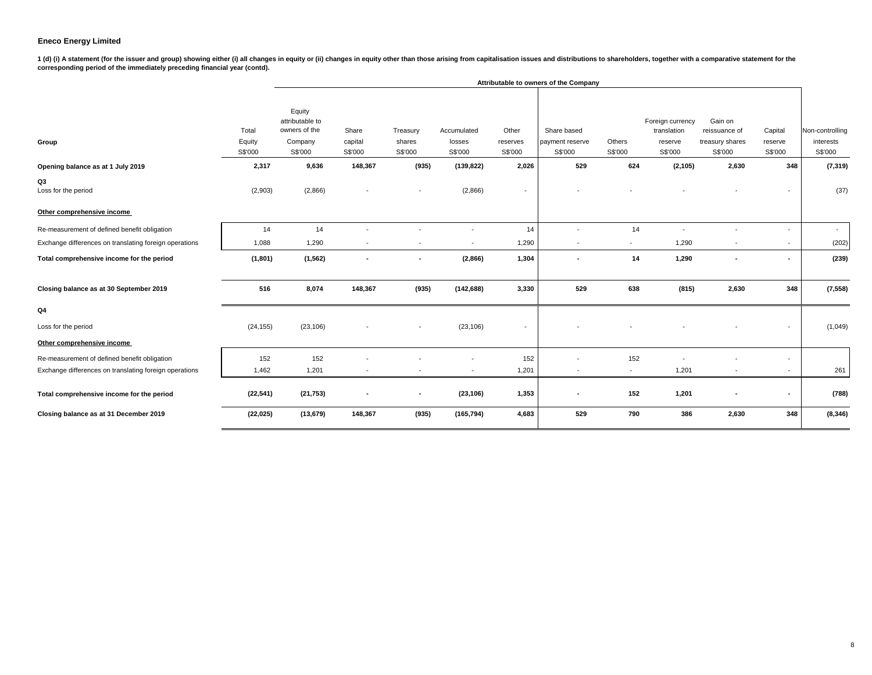1 (d) (i) A statement (for the issuer and group) showing either (i) all changes in equity or (ii) changes in equity other than those arising from capitalisation issues and distributions to shareholders, together with a com

|                                                        |                            |                                                                  |                             |                               |                                  |                              | Attributable to owners of the Company     |                   |                                                       |                                                        |                               |                                         |
|--------------------------------------------------------|----------------------------|------------------------------------------------------------------|-----------------------------|-------------------------------|----------------------------------|------------------------------|-------------------------------------------|-------------------|-------------------------------------------------------|--------------------------------------------------------|-------------------------------|-----------------------------------------|
| Group                                                  | Total<br>Equity<br>S\$'000 | Equity<br>attributable to<br>owners of the<br>Company<br>S\$'000 | Share<br>capital<br>S\$'000 | Treasury<br>shares<br>S\$'000 | Accumulated<br>losses<br>S\$'000 | Other<br>reserves<br>S\$'000 | Share based<br>payment reserve<br>S\$'000 | Others<br>S\$'000 | Foreign currency<br>translation<br>reserve<br>S\$'000 | Gain on<br>reissuance of<br>treasury shares<br>S\$'000 | Capital<br>reserve<br>S\$'000 | Non-controlling<br>interests<br>S\$'000 |
| Opening balance as at 1 July 2019                      | 2,317                      | 9,636                                                            | 148,367                     | (935)                         | (139, 822)                       | 2,026                        | 529                                       | 624               | (2, 105)                                              | 2,630                                                  | 348                           | (7, 319)                                |
| Q3<br>Loss for the period                              | (2,903)                    | (2,866)                                                          |                             |                               | (2,866)                          |                              |                                           |                   |                                                       |                                                        |                               | (37)                                    |
| Other comprehensive income                             |                            |                                                                  |                             |                               |                                  |                              |                                           |                   |                                                       |                                                        |                               |                                         |
| Re-measurement of defined benefit obligation           | 14                         | 14                                                               |                             |                               |                                  | 14                           |                                           | 14                |                                                       |                                                        | $\overline{\phantom{a}}$      | $\sim$                                  |
| Exchange differences on translating foreign operations | 1,088                      | 1,290                                                            |                             |                               |                                  | 1,290                        |                                           |                   | 1,290                                                 |                                                        | $\overline{\phantom{a}}$      | (202)                                   |
| Total comprehensive income for the period              | (1,801)                    | (1, 562)                                                         | $\overline{\phantom{a}}$    | ٠                             | (2,866)                          | 1,304                        | $\overline{\phantom{a}}$                  | 14                | 1,290                                                 | $\overline{\phantom{a}}$                               | $\sim$                        | (239)                                   |
| Closing balance as at 30 September 2019                | 516                        | 8,074                                                            | 148,367                     | (935)                         | (142, 688)                       | 3,330                        | 529                                       | 638               | (815)                                                 | 2,630                                                  | 348                           | (7, 558)                                |
| Q <sub>4</sub>                                         |                            |                                                                  |                             |                               |                                  |                              |                                           |                   |                                                       |                                                        |                               |                                         |
| Loss for the period                                    | (24, 155)                  | (23, 106)                                                        |                             |                               | (23, 106)                        |                              |                                           |                   |                                                       |                                                        | $\overline{\phantom{a}}$      | (1,049)                                 |
| Other comprehensive income                             |                            |                                                                  |                             |                               |                                  |                              |                                           |                   |                                                       |                                                        |                               |                                         |
| Re-measurement of defined benefit obligation           | 152                        | 152                                                              |                             |                               |                                  | 152                          |                                           | 152               |                                                       |                                                        | $\overline{\phantom{a}}$      |                                         |
| Exchange differences on translating foreign operations | 1,462                      | 1,201                                                            | $\overline{\phantom{a}}$    | $\blacksquare$                | $\overline{\phantom{a}}$         | 1,201                        | $\blacksquare$                            | $\sim$            | 1,201                                                 | $\sim$                                                 | $\overline{\phantom{a}}$      | 261                                     |
| Total comprehensive income for the period              | (22, 541)                  | (21, 753)                                                        |                             | ٠                             | (23, 106)                        | 1,353                        |                                           | 152               | 1,201                                                 |                                                        | ٠                             | (788)                                   |
| Closing balance as at 31 December 2019                 | (22, 025)                  | (13, 679)                                                        | 148,367                     | (935)                         | (165, 794)                       | 4,683                        | 529                                       | 790               | 386                                                   | 2,630                                                  | 348                           | (8, 346)                                |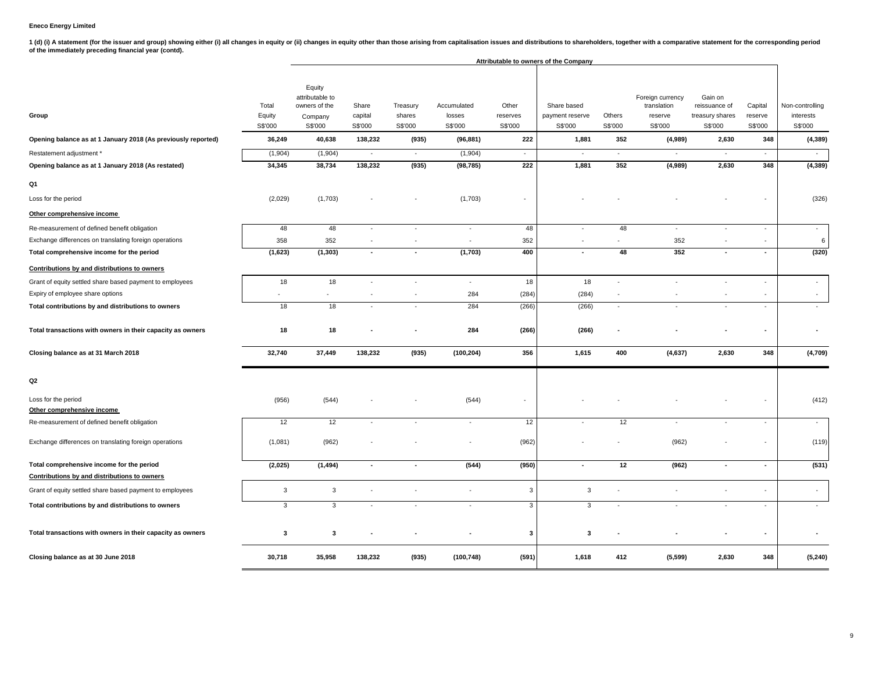1 (d) (i) A statement (for the issuer and group) showing either (i) all changes in equity or (ii) changes in equity other than those arising from capitalisation issues and distributions to shareholders, together with a com

|                                                                                                                                                                                       |                                                                      |                                                                                                            |                                                             |                                                           |                                                                                  |                                                                                  | Attributable to owners of the Company                                 |                                                   |                                                                                       |                                                                                    |                                                       |                                                                                    |
|---------------------------------------------------------------------------------------------------------------------------------------------------------------------------------------|----------------------------------------------------------------------|------------------------------------------------------------------------------------------------------------|-------------------------------------------------------------|-----------------------------------------------------------|----------------------------------------------------------------------------------|----------------------------------------------------------------------------------|-----------------------------------------------------------------------|---------------------------------------------------|---------------------------------------------------------------------------------------|------------------------------------------------------------------------------------|-------------------------------------------------------|------------------------------------------------------------------------------------|
| Group<br>Opening balance as at 1 January 2018 (As previously reported)<br>Restatement adjustment *<br>Opening balance as at 1 January 2018 (As restated)<br>Q1<br>Loss for the period | Total<br>Equity<br>S\$'000<br>36,249<br>(1,904)<br>34,345<br>(2,029) | Equity<br>attributable to<br>owners of the<br>Company<br>S\$'000<br>40,638<br>(1,904)<br>38,734<br>(1,703) | Share<br>capital<br>S\$'000<br>138,232<br>$\sim$<br>138,232 | Treasury<br>shares<br>S\$'000<br>(935)<br>$\sim$<br>(935) | Accumulated<br>losses<br>S\$'000<br>(96, 881)<br>(1,904)<br>(98, 785)<br>(1,703) | Other<br>reserves<br>S\$'000<br>222<br>$\sim$<br>222<br>$\overline{\phantom{a}}$ | Share based<br>payment reserve<br>S\$'000<br>1,881<br>$\sim$<br>1,881 | Others<br>S\$'000<br>352<br>$\blacksquare$<br>352 | Foreign currency<br>translation<br>reserve<br>S\$'000<br>(4,989)<br>$\sim$<br>(4,989) | Gain on<br>reissuance of<br>treasury shares<br>S\$'000<br>2,630<br>$\sim$<br>2,630 | Capital<br>reserve<br>S\$'000<br>348<br>$\sim$<br>348 | Non-controlling<br>interests<br>S\$'000<br>(4, 389)<br>$\sim$<br>(4, 389)<br>(326) |
| Other comprehensive income                                                                                                                                                            |                                                                      |                                                                                                            |                                                             |                                                           |                                                                                  |                                                                                  |                                                                       |                                                   |                                                                                       |                                                                                    |                                                       |                                                                                    |
| Re-measurement of defined benefit obligation<br>Exchange differences on translating foreign operations<br>Total comprehensive income for the period                                   | 48<br>358<br>(1,623)                                                 | 48<br>352<br>(1, 303)                                                                                      | $\sim$<br>$\overline{\phantom{a}}$<br>$\blacksquare$        | $\blacksquare$<br>$\sim$<br>$\blacksquare$                | $\sim$<br>$\sim$<br>(1,703)                                                      | 48<br>352<br>400                                                                 | $\overline{\phantom{a}}$<br>$\overline{\phantom{a}}$                  | 48<br>48                                          | $\sim$<br>352<br>352                                                                  | $\blacksquare$<br>$\overline{a}$                                                   | ÷.<br>$\overline{\phantom{a}}$<br>$\blacksquare$      | $\blacksquare$<br>6<br>(320)                                                       |
| Contributions by and distributions to owners                                                                                                                                          |                                                                      |                                                                                                            |                                                             |                                                           |                                                                                  |                                                                                  |                                                                       |                                                   |                                                                                       |                                                                                    |                                                       |                                                                                    |
| Grant of equity settled share based payment to employees<br>Expiry of employee share options                                                                                          | 18                                                                   | 18<br>$\sim$                                                                                               | $\sim$                                                      | $\sim$<br>÷,                                              | ÷.<br>284                                                                        | 18<br>(284)                                                                      | 18<br>(284)                                                           | $\sim$<br>÷,                                      |                                                                                       | ÷,                                                                                 |                                                       | $\sim$                                                                             |
| Total contributions by and distributions to owners                                                                                                                                    | 18                                                                   | 18                                                                                                         | ÷.                                                          | $\sim$                                                    | 284                                                                              | (266)                                                                            | (266)                                                                 | $\omega$                                          |                                                                                       | $\sim$                                                                             | ÷.                                                    | $\overline{\phantom{a}}$                                                           |
| Total transactions with owners in their capacity as owners                                                                                                                            | 18                                                                   | 18                                                                                                         |                                                             |                                                           | 284                                                                              | (266)                                                                            | (266)                                                                 |                                                   |                                                                                       |                                                                                    |                                                       |                                                                                    |
| Closing balance as at 31 March 2018                                                                                                                                                   | 32,740                                                               | 37,449                                                                                                     | 138,232                                                     | (935)                                                     | (100, 204)                                                                       | 356                                                                              | 1,615                                                                 | 400                                               | (4,637)                                                                               | 2,630                                                                              | 348                                                   | (4,709)                                                                            |
| Q2                                                                                                                                                                                    |                                                                      |                                                                                                            |                                                             |                                                           |                                                                                  |                                                                                  |                                                                       |                                                   |                                                                                       |                                                                                    |                                                       |                                                                                    |
| Loss for the period<br>Other comprehensive income                                                                                                                                     | (956)                                                                | (544)                                                                                                      |                                                             |                                                           | (544)                                                                            | $\overline{\phantom{a}}$                                                         |                                                                       |                                                   |                                                                                       |                                                                                    |                                                       | (412)                                                                              |
| Re-measurement of defined benefit obligation                                                                                                                                          | 12                                                                   | 12                                                                                                         | ÷                                                           | $\sim$                                                    | $\sim$                                                                           | 12                                                                               |                                                                       | 12                                                |                                                                                       | $\overline{\phantom{a}}$                                                           | $\blacksquare$                                        | $\mathbf{r}$                                                                       |
| Exchange differences on translating foreign operations                                                                                                                                | (1,081)                                                              | (962)                                                                                                      |                                                             |                                                           | $\sim$                                                                           | (962)                                                                            |                                                                       |                                                   | (962)                                                                                 |                                                                                    |                                                       | (119)                                                                              |
| Total comprehensive income for the period                                                                                                                                             | (2,025)                                                              | (1, 494)                                                                                                   | $\blacksquare$                                              | $\blacksquare$                                            | (544)                                                                            | (950)                                                                            | $\blacksquare$                                                        | 12                                                | (962)                                                                                 | $\blacksquare$                                                                     | $\overline{a}$                                        | (531)                                                                              |
| Contributions by and distributions to owners                                                                                                                                          |                                                                      |                                                                                                            |                                                             |                                                           |                                                                                  |                                                                                  |                                                                       |                                                   |                                                                                       |                                                                                    |                                                       |                                                                                    |
| Grant of equity settled share based payment to employees                                                                                                                              | 3                                                                    | $\mathbf{3}$                                                                                               | ä,                                                          | $\overline{\phantom{a}}$                                  |                                                                                  | 3                                                                                | $\mathbf{3}$                                                          | $\sim$                                            |                                                                                       | $\ddot{\phantom{1}}$                                                               |                                                       | $\sim$                                                                             |
| Total contributions by and distributions to owners                                                                                                                                    | 3                                                                    | 3                                                                                                          | $\sim$                                                      | ÷.                                                        | $\sim$                                                                           | 3                                                                                | 3                                                                     | ÷.                                                |                                                                                       | ÷                                                                                  | ÷.                                                    | $\mathbf{r}$                                                                       |
| Total transactions with owners in their capacity as owners                                                                                                                            | 3                                                                    | 3                                                                                                          |                                                             |                                                           |                                                                                  | 3                                                                                | 3                                                                     |                                                   |                                                                                       |                                                                                    |                                                       |                                                                                    |
| Closing balance as at 30 June 2018                                                                                                                                                    | 30,718                                                               | 35,958                                                                                                     | 138,232                                                     | (935)                                                     | (100, 748)                                                                       | (591)                                                                            | 1,618                                                                 | 412                                               | (5, 599)                                                                              | 2,630                                                                              | 348                                                   | (5, 240)                                                                           |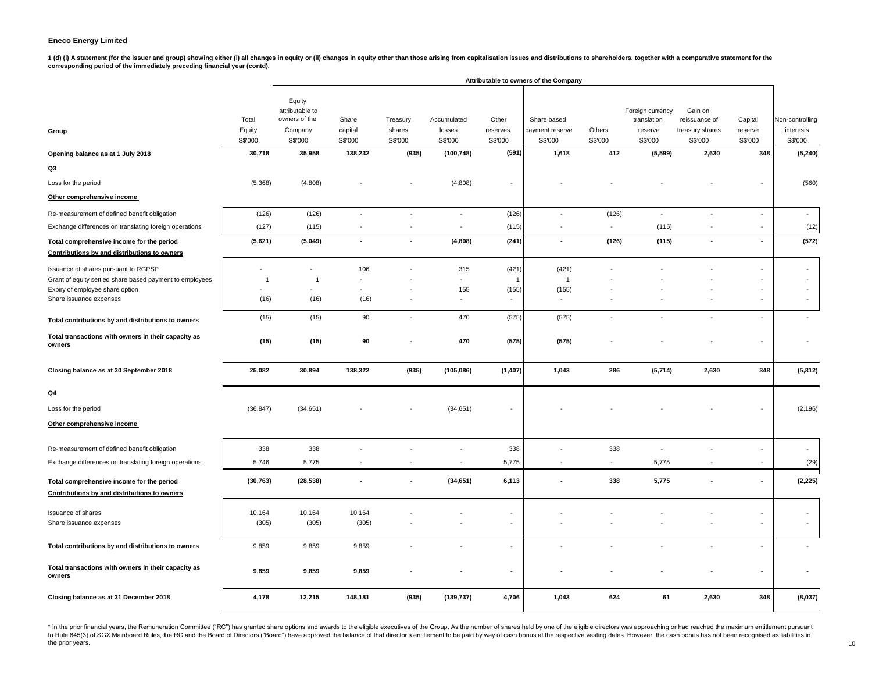1 (d) (i) A statement (for the issuer and group) showing either (i) all changes in equity or (ii) changes in equity or (ii) changes in equity or than those arising from capitalisation issues and distributions to shareholde **corresponding period of the immediately preceding financial year (contd).**

|                                                                                           |                            |                                                                  |                             |                               |                                  |                              | Attributable to owners of the Company     |                          |                                                       |                                                        |                               |                                         |
|-------------------------------------------------------------------------------------------|----------------------------|------------------------------------------------------------------|-----------------------------|-------------------------------|----------------------------------|------------------------------|-------------------------------------------|--------------------------|-------------------------------------------------------|--------------------------------------------------------|-------------------------------|-----------------------------------------|
| Group                                                                                     | Total<br>Equity<br>S\$'000 | Equity<br>attributable to<br>owners of the<br>Company<br>S\$'000 | Share<br>capital<br>S\$'000 | Treasury<br>shares<br>S\$'000 | Accumulated<br>losses<br>S\$'000 | Other<br>reserves<br>S\$'000 | Share based<br>payment reserve<br>S\$'000 | Others<br>S\$'000        | Foreign currency<br>translation<br>reserve<br>S\$'000 | Gain on<br>reissuance of<br>treasury shares<br>S\$'000 | Capital<br>reserve<br>S\$'000 | Non-controlling<br>interests<br>S\$'000 |
| Opening balance as at 1 July 2018                                                         | 30,718                     | 35,958                                                           | 138,232                     | (935)                         | (100, 748)                       | (591)                        | 1,618                                     | 412                      | (5, 599)                                              | 2,630                                                  | 348                           | (5, 240)                                |
| Q3                                                                                        |                            |                                                                  |                             |                               |                                  |                              |                                           |                          |                                                       |                                                        |                               |                                         |
| Loss for the period                                                                       | (5,368)                    | (4,808)                                                          |                             |                               | (4,808)                          |                              |                                           |                          |                                                       |                                                        |                               | (560)                                   |
| Other comprehensive income                                                                |                            |                                                                  |                             |                               |                                  |                              |                                           |                          |                                                       |                                                        |                               |                                         |
| Re-measurement of defined benefit obligation                                              | (126)                      | (126)                                                            | $\sim$                      | $\blacksquare$                | $\overline{\phantom{a}}$         | (126)                        | $\sim$                                    | (126)                    | $\overline{\phantom{a}}$                              | $\sim$                                                 | $\blacksquare$                | $\sim$                                  |
| Exchange differences on translating foreign operations                                    | (127)                      | (115)                                                            |                             | $\blacksquare$                | $\blacksquare$                   | (115)                        | ÷,                                        |                          | (115)                                                 | ÷,                                                     | $\sim$                        | (12)                                    |
| Total comprehensive income for the period<br>Contributions by and distributions to owners | (5,621)                    | (5,049)                                                          | $\overline{\phantom{a}}$    |                               | (4,808)                          | (241)                        | ÷,                                        | (126)                    | (115)                                                 | $\overline{\phantom{a}}$                               |                               | (572)                                   |
| Issuance of shares pursuant to RGPSP                                                      | ٠                          | ÷.                                                               | 106                         |                               | 315                              | (421)                        | (421)                                     |                          |                                                       |                                                        |                               |                                         |
| Grant of equity settled share based payment to employees                                  | $\overline{1}$             | $\overline{1}$                                                   |                             |                               | $\sim$                           | $\mathbf{1}$                 | $\overline{1}$                            |                          |                                                       |                                                        |                               | $\sim$                                  |
| Expiry of employee share option<br>Share issuance expenses                                | (16)                       | (16)                                                             | (16)                        |                               | 155<br>$\sim$                    | (155)<br>$\sim$              | (155)<br>$\sim$                           |                          |                                                       |                                                        | $\overline{\phantom{a}}$      | $\sim$                                  |
| Total contributions by and distributions to owners                                        | (15)                       | (15)                                                             | 90                          | $\sim$                        | 470                              | (575)                        | (575)                                     |                          |                                                       |                                                        |                               |                                         |
| Total transactions with owners in their capacity as<br>owners                             | (15)                       | (15)                                                             | 90                          |                               | 470                              | (575)                        | (575)                                     |                          |                                                       |                                                        |                               |                                         |
| Closing balance as at 30 September 2018                                                   | 25,082                     | 30,894                                                           | 138,322                     | (935)                         | (105, 086)                       | (1, 407)                     | 1,043                                     | 286                      | (5,714)                                               | 2,630                                                  | 348                           | (5, 812)                                |
| Q4                                                                                        |                            |                                                                  |                             |                               |                                  |                              |                                           |                          |                                                       |                                                        |                               |                                         |
| Loss for the period                                                                       | (36, 847)                  | (34, 651)                                                        |                             |                               | (34, 651)                        |                              |                                           |                          |                                                       |                                                        |                               | (2, 196)                                |
| Other comprehensive income                                                                |                            |                                                                  |                             |                               |                                  |                              |                                           |                          |                                                       |                                                        |                               |                                         |
| Re-measurement of defined benefit obligation                                              | 338                        | 338                                                              |                             |                               |                                  | 338                          |                                           | 338                      | $\overline{\phantom{a}}$                              |                                                        |                               | $\overline{\phantom{a}}$                |
| Exchange differences on translating foreign operations                                    | 5,746                      | 5,775                                                            |                             |                               | $\blacksquare$                   | 5,775                        | $\sim$                                    | $\overline{\phantom{a}}$ | 5,775                                                 |                                                        |                               | (29)                                    |
| Total comprehensive income for the period<br>Contributions by and distributions to owners | (30, 763)                  | (28, 538)                                                        | $\blacksquare$              | $\blacksquare$                | (34, 651)                        | 6,113                        | $\overline{\phantom{a}}$                  | 338                      | 5,775                                                 |                                                        | $\overline{a}$                | (2, 225)                                |
| Issuance of shares                                                                        | 10,164                     | 10,164                                                           | 10,164                      |                               |                                  | $\overline{\phantom{a}}$     |                                           |                          |                                                       |                                                        |                               | $\overline{\phantom{a}}$                |
| Share issuance expenses                                                                   | (305)                      | (305)                                                            | (305)                       |                               |                                  | ÷.                           |                                           |                          |                                                       |                                                        | ÷.                            | $\sim$                                  |
| Total contributions by and distributions to owners                                        | 9,859                      | 9,859                                                            | 9,859                       |                               |                                  |                              |                                           |                          |                                                       |                                                        |                               |                                         |
| Total transactions with owners in their capacity as<br>owners                             | 9,859                      | 9,859                                                            | 9,859                       |                               |                                  |                              |                                           |                          |                                                       |                                                        |                               |                                         |
| Closing balance as at 31 December 2018                                                    | 4,178                      | 12,215                                                           | 148,181                     | (935)                         | (139, 737)                       | 4,706                        | 1,043                                     | 624                      | 61                                                    | 2,630                                                  | 348                           | (8,037)                                 |

\* In the prior financial years, the Remuneration Committee ("RC") has granted share options and awards to the eligible executives of the Group. As the number of shares held by one of the eligible directors was approaching to Rule 845(3) of SGX Mainboard Rules, the RC and the Board of Directors ("Board") have approved the balance of that director's entitlement to be paid by way of cash bonus at the respective vesting dates. However, the cash the prior years. 10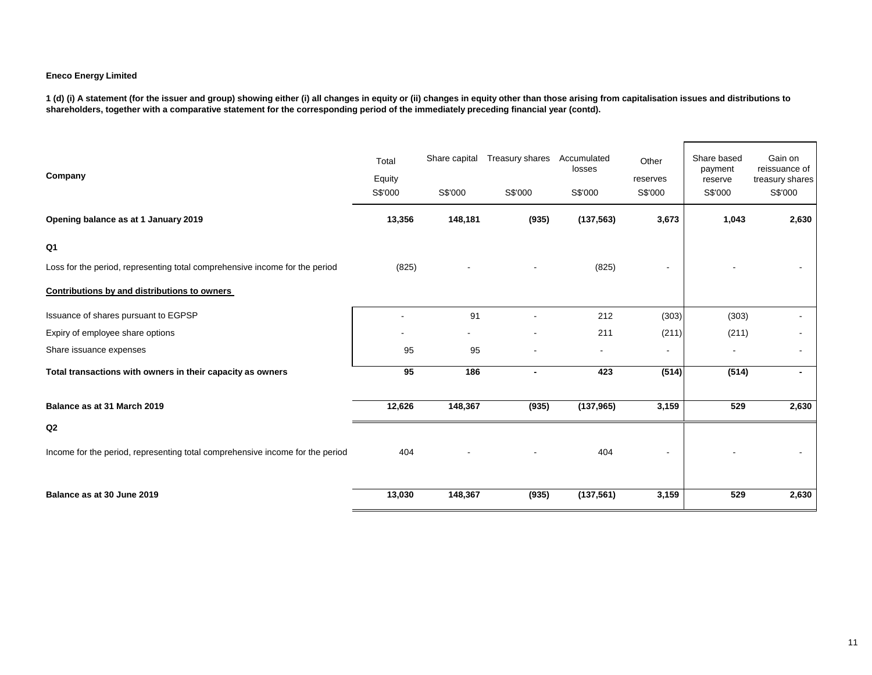**1 (d) (i) A statement (for the issuer and group) showing either (i) all changes in equity or (ii) changes in equity other than those arising from capitalisation issues and distributions to shareholders, together with a comparative statement for the corresponding period of the immediately preceding financial year (contd).**

| Company                                                                       | Total<br>Equity<br>S\$'000 | Share capital<br>S\$'000 | Treasury shares<br>S\$'000 | Accumulated<br>losses<br>S\$'000 | Other<br>reserves<br>S\$'000 | Share based<br>payment<br>reserve<br>S\$'000 | Gain on<br>reissuance of<br>treasury shares<br>S\$'000 |
|-------------------------------------------------------------------------------|----------------------------|--------------------------|----------------------------|----------------------------------|------------------------------|----------------------------------------------|--------------------------------------------------------|
| Opening balance as at 1 January 2019                                          | 13,356                     | 148,181                  | (935)                      | (137, 563)                       | 3,673                        | 1,043                                        | 2,630                                                  |
| Q <sub>1</sub>                                                                |                            |                          |                            |                                  |                              |                                              |                                                        |
| Loss for the period, representing total comprehensive income for the period   | (825)                      |                          |                            | (825)                            |                              |                                              |                                                        |
| Contributions by and distributions to owners                                  |                            |                          |                            |                                  |                              |                                              |                                                        |
| Issuance of shares pursuant to EGPSP                                          |                            | 91                       |                            | 212                              | (303)                        | (303)                                        |                                                        |
| Expiry of employee share options                                              |                            |                          |                            | 211                              | (211)                        | (211)                                        |                                                        |
| Share issuance expenses                                                       | 95                         | 95                       |                            |                                  | $\blacksquare$               |                                              | $\sim$                                                 |
| Total transactions with owners in their capacity as owners                    | 95                         | 186                      | $\blacksquare$             | 423                              | (514)                        | (514)                                        | $\blacksquare$                                         |
| Balance as at 31 March 2019                                                   | 12,626                     | 148,367                  | (935)                      | (137, 965)                       | 3,159                        | 529                                          | 2,630                                                  |
| Q2                                                                            |                            |                          |                            |                                  |                              |                                              |                                                        |
| Income for the period, representing total comprehensive income for the period | 404                        |                          |                            | 404                              |                              |                                              |                                                        |
| Balance as at 30 June 2019                                                    | 13,030                     | 148,367                  | (935)                      | (137, 561)                       | 3,159                        | 529                                          | 2,630                                                  |

r.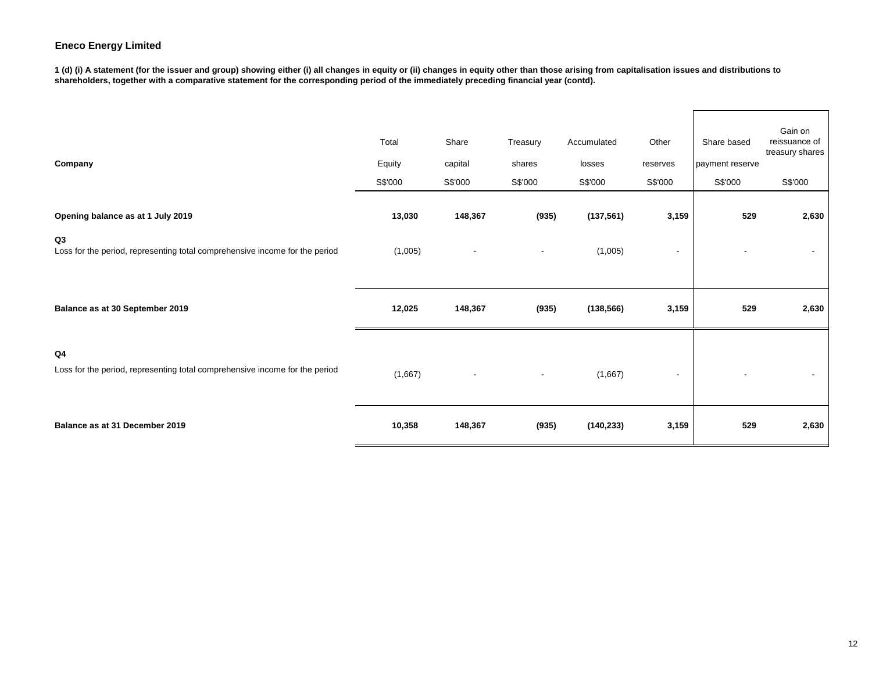**1 (d) (i) A statement (for the issuer and group) showing either (i) all changes in equity or (ii) changes in equity other than those arising from capitalisation issues and distributions to shareholders, together with a comparative statement for the corresponding period of the immediately preceding financial year (contd).**

| Company                                                                           | Total<br>Equity<br>S\$'000 | Share<br>capital<br>S\$'000 | Treasury<br>shares<br>S\$'000 | Accumulated<br>losses<br>S\$'000 | Other<br>reserves<br>S\$'000 | Share based<br>payment reserve<br>S\$'000 | Gain on<br>reissuance of<br>treasury shares<br>S\$'000 |
|-----------------------------------------------------------------------------------|----------------------------|-----------------------------|-------------------------------|----------------------------------|------------------------------|-------------------------------------------|--------------------------------------------------------|
| Opening balance as at 1 July 2019                                                 | 13,030                     | 148,367                     | (935)                         | (137, 561)                       | 3,159                        | 529                                       | 2,630                                                  |
| Q3<br>Loss for the period, representing total comprehensive income for the period | (1,005)                    |                             | ٠                             | (1,005)                          | $\overline{a}$               |                                           |                                                        |
| Balance as at 30 September 2019                                                   | 12,025                     | 148,367                     | (935)                         | (138, 566)                       | 3,159                        | 529                                       | 2,630                                                  |
| Q4<br>Loss for the period, representing total comprehensive income for the period | (1,667)                    |                             | $\blacksquare$                | (1,667)                          | -                            |                                           |                                                        |
| Balance as at 31 December 2019                                                    | 10,358                     | 148,367                     | (935)                         | (140, 233)                       | 3,159                        | 529                                       | 2,630                                                  |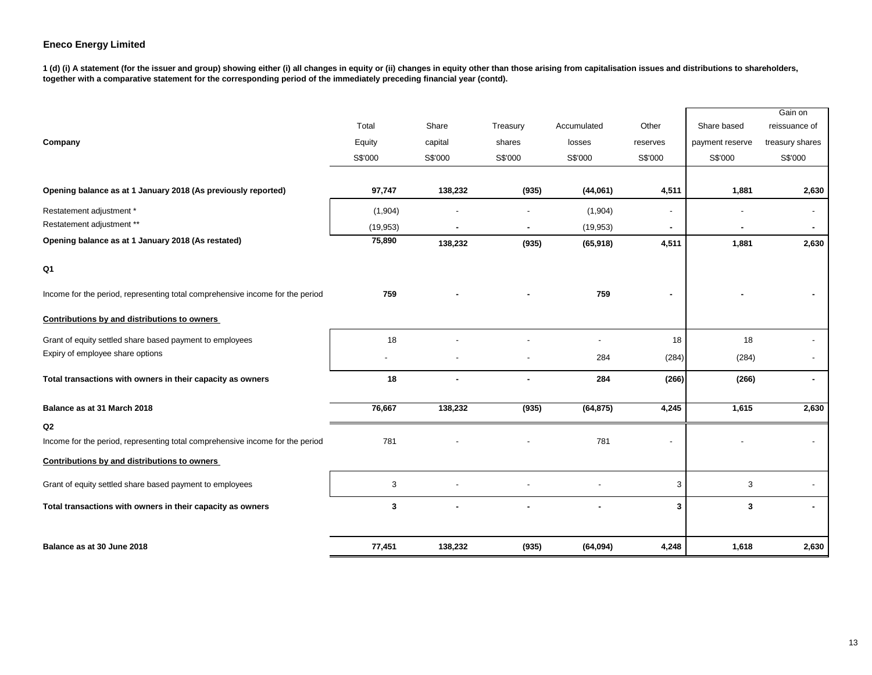**1 (d) (i) A statement (for the issuer and group) showing either (i) all changes in equity or (ii) changes in equity other than those arising from capitalisation issues and distributions to shareholders, together with a comparative statement for the corresponding period of the immediately preceding financial year (contd).**

|                                                                               |           |         |          |                |          |                 | Gain on         |
|-------------------------------------------------------------------------------|-----------|---------|----------|----------------|----------|-----------------|-----------------|
|                                                                               | Total     | Share   | Treasury | Accumulated    | Other    | Share based     | reissuance of   |
| Company                                                                       | Equity    | capital | shares   | losses         | reserves | payment reserve | treasury shares |
|                                                                               | S\$'000   | S\$'000 | S\$'000  | S\$'000        | S\$'000  | S\$'000         | S\$'000         |
|                                                                               |           |         |          |                |          |                 |                 |
| Opening balance as at 1 January 2018 (As previously reported)                 | 97,747    | 138,232 | (935)    | (44,061)       | 4,511    | 1,881           | 2,630           |
| Restatement adjustment *                                                      | (1,904)   |         |          | (1,904)        |          |                 | $\sim$          |
| Restatement adjustment **                                                     | (19, 953) |         | ٠        | (19, 953)      |          |                 |                 |
| Opening balance as at 1 January 2018 (As restated)                            | 75,890    | 138,232 | (935)    | (65, 918)      | 4,511    | 1,881           | 2,630           |
| Q <sub>1</sub>                                                                |           |         |          |                |          |                 |                 |
| Income for the period, representing total comprehensive income for the period | 759       |         |          | 759            |          |                 |                 |
| Contributions by and distributions to owners                                  |           |         |          |                |          |                 |                 |
| Grant of equity settled share based payment to employees                      | 18        |         |          | $\blacksquare$ | 18       | 18              |                 |
| Expiry of employee share options                                              |           |         |          | 284            | (284)    | (284)           |                 |
| Total transactions with owners in their capacity as owners                    | 18        |         |          | 284            | (266)    | (266)           | $\sim$          |
| Balance as at 31 March 2018                                                   | 76,667    | 138,232 | (935)    | (64, 875)      | 4,245    | 1,615           | 2,630           |
| Q2                                                                            |           |         |          |                |          |                 |                 |
| Income for the period, representing total comprehensive income for the period | 781       |         |          | 781            |          |                 |                 |
| Contributions by and distributions to owners                                  |           |         |          |                |          |                 |                 |
| Grant of equity settled share based payment to employees                      | 3         |         |          |                | 3        | 3               |                 |
| Total transactions with owners in their capacity as owners                    | 3         |         |          |                | 3        | 3               |                 |
|                                                                               |           |         |          |                |          |                 |                 |
| Balance as at 30 June 2018                                                    | 77,451    | 138,232 | (935)    | (64, 094)      | 4,248    | 1,618           | 2,630           |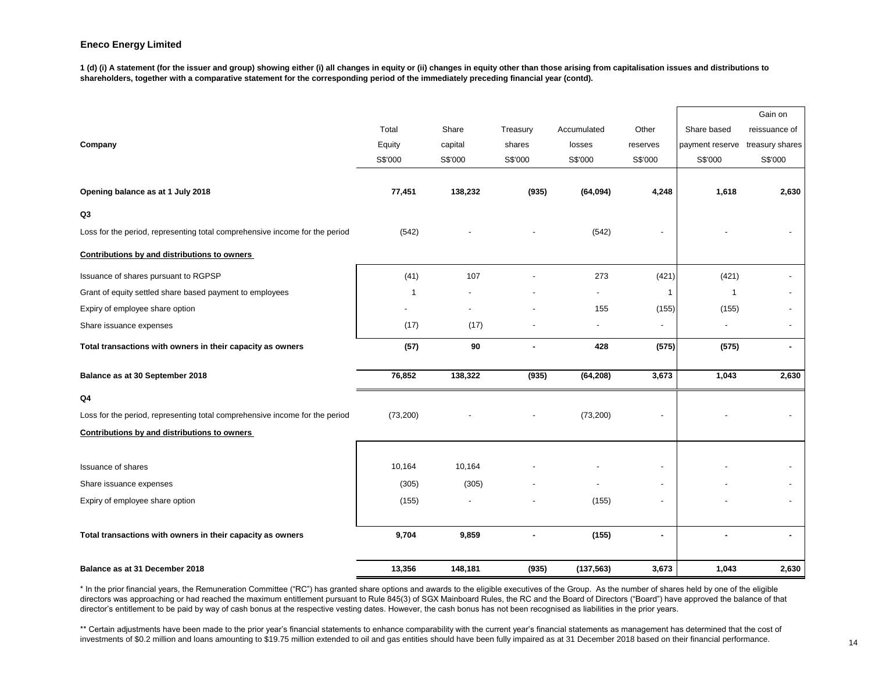**1 (d) (i) A statement (for the issuer and group) showing either (i) all changes in equity or (ii) changes in equity other than those arising from capitalisation issues and distributions to shareholders, together with a comparative statement for the corresponding period of the immediately preceding financial year (contd).**

|                                                                             |             |                |          |                          |                |                 | Gain on                  |
|-----------------------------------------------------------------------------|-------------|----------------|----------|--------------------------|----------------|-----------------|--------------------------|
|                                                                             | Total       | Share          | Treasury | Accumulated              | Other          | Share based     | reissuance of            |
| Company                                                                     | Equity      | capital        | shares   | losses                   | reserves       | payment reserve | treasury shares          |
|                                                                             | S\$'000     | S\$'000        | S\$'000  | S\$'000                  | S\$'000        | S\$'000         | S\$'000                  |
|                                                                             |             |                |          |                          |                |                 |                          |
| Opening balance as at 1 July 2018                                           | 77,451      | 138,232        | (935)    | (64, 094)                | 4,248          | 1,618           | 2,630                    |
| Q3                                                                          |             |                |          |                          |                |                 |                          |
| Loss for the period, representing total comprehensive income for the period | (542)       |                |          | (542)                    |                |                 |                          |
| Contributions by and distributions to owners                                |             |                |          |                          |                |                 |                          |
| Issuance of shares pursuant to RGPSP                                        | (41)        | 107            |          | 273                      | (421)          | (421)           |                          |
| Grant of equity settled share based payment to employees                    | $\mathbf 1$ |                |          | $\blacksquare$           | -1             | $\mathbf{1}$    |                          |
| Expiry of employee share option                                             |             |                |          | 155                      | (155)          | (155)           |                          |
| Share issuance expenses                                                     | (17)        | (17)           |          | $\overline{\phantom{a}}$ | $\blacksquare$ |                 | $\blacksquare$           |
| Total transactions with owners in their capacity as owners                  | (57)        | 90             |          | 428                      | (575)          | (575)           | $\blacksquare$           |
| Balance as at 30 September 2018                                             | 76,852      | 138,322        | (935)    | (64, 208)                | 3,673          | 1,043           | 2,630                    |
| Q4                                                                          |             |                |          |                          |                |                 |                          |
| Loss for the period, representing total comprehensive income for the period | (73, 200)   |                |          | (73, 200)                |                |                 |                          |
| Contributions by and distributions to owners                                |             |                |          |                          |                |                 |                          |
|                                                                             |             |                |          |                          |                |                 |                          |
| <b>Issuance of shares</b>                                                   | 10,164      | 10,164         |          |                          |                |                 |                          |
| Share issuance expenses                                                     | (305)       | (305)          |          |                          |                |                 |                          |
| Expiry of employee share option                                             | (155)       | $\overline{a}$ |          | (155)                    | $\blacksquare$ |                 | $\overline{\phantom{0}}$ |
|                                                                             |             |                |          |                          |                |                 |                          |
| Total transactions with owners in their capacity as owners                  | 9,704       | 9,859          |          | (155)                    |                |                 | ۰                        |
|                                                                             |             |                |          |                          |                |                 |                          |
| Balance as at 31 December 2018                                              | 13,356      | 148,181        | (935)    | (137, 563)               | 3,673          | 1,043           | 2,630                    |

\* In the prior financial years, the Remuneration Committee ("RC") has granted share options and awards to the eligible executives of the Group. As the number of shares held by one of the eligible directors was approaching or had reached the maximum entitlement pursuant to Rule 845(3) of SGX Mainboard Rules, the RC and the Board of Directors ("Board") have approved the balance of that director's entitlement to be paid by way of cash bonus at the respective vesting dates. However, the cash bonus has not been recognised as liabilities in the prior years.

\*\* Certain adjustments have been made to the prior year's financial statements to enhance comparability with the current year's financial statements as management has determined that the cost of investments of \$0.2 million and loans amounting to \$19.75 million extended to oil and gas entities should have been fully impaired as at 31 December 2018 based on their financial performance.<br>
14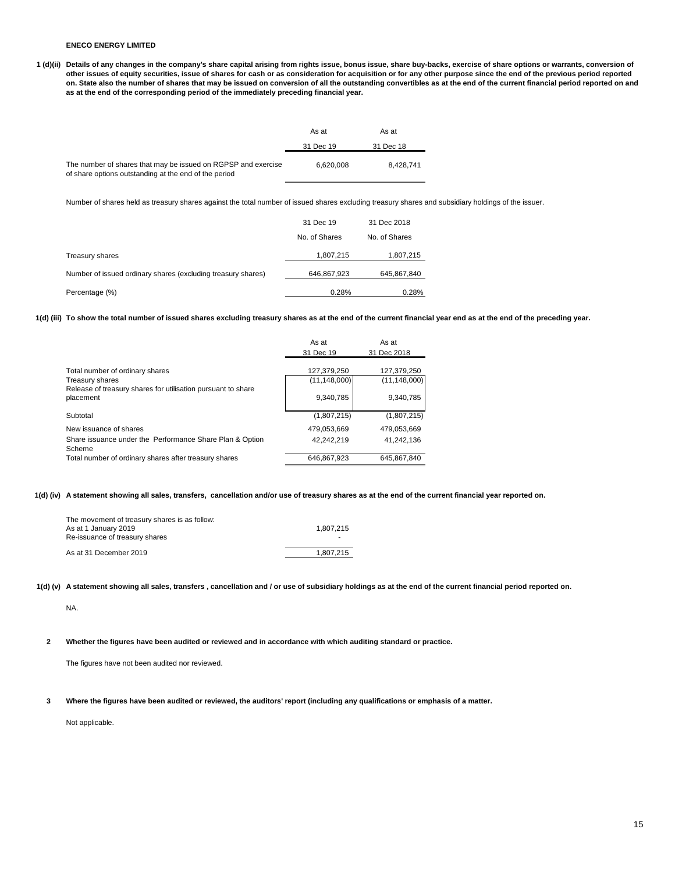**1 (d)(ii) Details of any changes in the company's share capital arising from rights issue, bonus issue, share buy-backs, exercise of share options or warrants, conversion of other issues of equity securities, issue of shares for cash or as consideration for acquisition or for any other purpose since the end of the previous period reported on. State also the number of shares that may be issued on conversion of all the outstanding convertibles as at the end of the current financial period reported on and as at the end of the corresponding period of the immediately preceding financial year.**

|                                                                                                                        | As at     | As at     |
|------------------------------------------------------------------------------------------------------------------------|-----------|-----------|
|                                                                                                                        | 31 Dec 19 | 31 Dec 18 |
| The number of shares that may be issued on RGPSP and exercise<br>of share options outstanding at the end of the period | 6.620.008 | 8.428.741 |

Number of shares held as treasury shares against the total number of issued shares excluding treasury shares and subsidiary holdings of the issuer.

|                                                              | 31 Dec 19     | 31 Dec 2018   |
|--------------------------------------------------------------|---------------|---------------|
|                                                              | No. of Shares | No. of Shares |
| Treasury shares                                              | 1,807,215     | 1,807,215     |
| Number of issued ordinary shares (excluding treasury shares) | 646,867,923   | 645,867,840   |
| Percentage (%)                                               | 0.28%         | 0.28%         |

**1(d) (iii) To show the total number of issued shares excluding treasury shares as at the end of the current financial year end as at the end of the preceding year.**

|                                                                           | As at          | As at          |
|---------------------------------------------------------------------------|----------------|----------------|
|                                                                           | 31 Dec 19      | 31 Dec 2018    |
| Total number of ordinary shares                                           | 127.379.250    | 127.379.250    |
| <b>Treasury shares</b>                                                    | (11, 148, 000) | (11, 148, 000) |
| Release of treasury shares for utilisation pursuant to share<br>placement | 9,340,785      | 9,340,785      |
| Subtotal                                                                  | (1,807,215)    | (1,807,215)    |
| New issuance of shares                                                    | 479.053.669    | 479.053.669    |
| Share issuance under the Performance Share Plan & Option<br>Scheme        | 42.242.219     | 41.242.136     |
| Total number of ordinary shares after treasury shares                     | 646.867.923    | 645.867.840    |

**1(d) (iv) A statement showing all sales, transfers, cancellation and/or use of treasury shares as at the end of the current financial year reported on.**

| The movement of treasury shares is as follow:<br>As at 1 January 2019<br>Re-issuance of treasury shares | 1.807.215<br>$\overline{\phantom{a}}$ |
|---------------------------------------------------------------------------------------------------------|---------------------------------------|
| As at 31 December 2019                                                                                  | 1.807.215                             |

**1(d) (v) A statement showing all sales, transfers , cancellation and / or use of subsidiary holdings as at the end of the current financial period reported on.**

NA.

**2 Whether the figures have been audited or reviewed and in accordance with which auditing standard or practice.**

The figures have not been audited nor reviewed.

**3 Where the figures have been audited or reviewed, the auditors' report (including any qualifications or emphasis of a matter.**

Not applicable.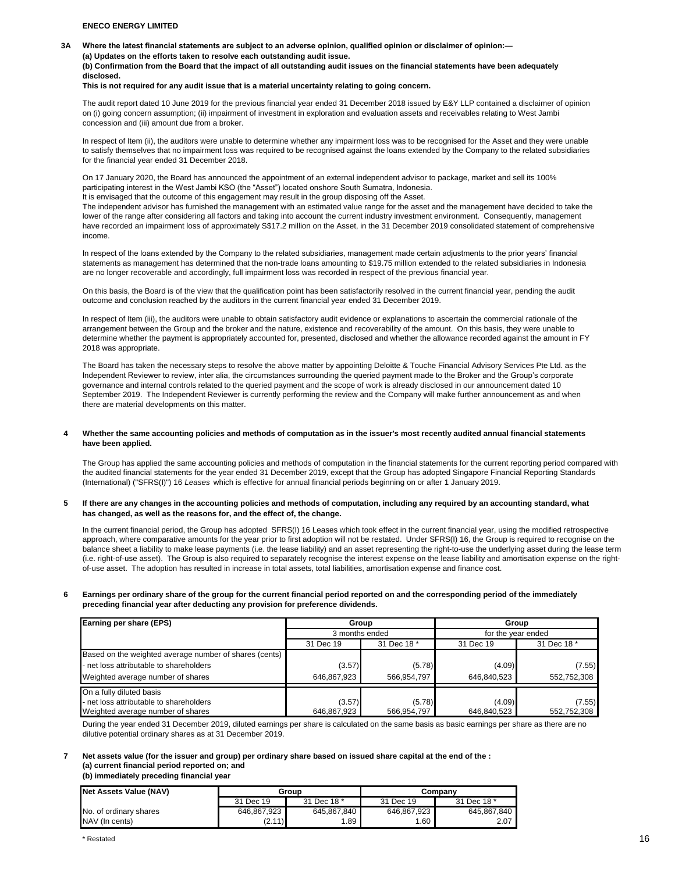**3A Where the latest financial statements are subject to an adverse opinion, qualified opinion or disclaimer of opinion:—**

**(a) Updates on the efforts taken to resolve each outstanding audit issue.**

**(b) Confirmation from the Board that the impact of all outstanding audit issues on the financial statements have been adequately disclosed.**

#### **This is not required for any audit issue that is a material uncertainty relating to going concern.**

The audit report dated 10 June 2019 for the previous financial year ended 31 December 2018 issued by E&Y LLP contained a disclaimer of opinion on (i) going concern assumption; (ii) impairment of investment in exploration and evaluation assets and receivables relating to West Jambi concession and (iii) amount due from a broker.

In respect of Item (ii), the auditors were unable to determine whether any impairment loss was to be recognised for the Asset and they were unable to satisfy themselves that no impairment loss was required to be recognised against the loans extended by the Company to the related subsidiaries for the financial year ended 31 December 2018.

On 17 January 2020, the Board has announced the appointment of an external independent advisor to package, market and sell its 100% participating interest in the West Jambi KSO (the "Asset") located onshore South Sumatra, Indonesia. It is envisaged that the outcome of this engagement may result in the group disposing off the Asset.

The independent advisor has furnished the management with an estimated value range for the asset and the management have decided to take the lower of the range after considering all factors and taking into account the current industry investment environment. Consequently, management have recorded an impairment loss of approximately S\$17.2 million on the Asset, in the 31 December 2019 consolidated statement of comprehensive income.

In respect of the loans extended by the Company to the related subsidiaries, management made certain adjustments to the prior years' financial statements as management has determined that the non-trade loans amounting to \$19.75 million extended to the related subsidiaries in Indonesia are no longer recoverable and accordingly, full impairment loss was recorded in respect of the previous financial year.

On this basis, the Board is of the view that the qualification point has been satisfactorily resolved in the current financial year, pending the audit outcome and conclusion reached by the auditors in the current financial year ended 31 December 2019.

In respect of Item (iii), the auditors were unable to obtain satisfactory audit evidence or explanations to ascertain the commercial rationale of the arrangement between the Group and the broker and the nature, existence and recoverability of the amount. On this basis, they were unable to determine whether the payment is appropriately accounted for, presented, disclosed and whether the allowance recorded against the amount in FY 2018 was appropriate.

The Board has taken the necessary steps to resolve the above matter by appointing Deloitte & Touche Financial Advisory Services Pte Ltd. as the Independent Reviewer to review, inter alia, the circumstances surrounding the queried payment made to the Broker and the Group's corporate governance and internal controls related to the queried payment and the scope of work is already disclosed in our announcement dated 10 September 2019. The Independent Reviewer is currently performing the review and the Company will make further announcement as and when there are material developments on this matter.

#### **4 Whether the same accounting policies and methods of computation as in the issuer's most recently audited annual financial statements have been applied.**

The Group has applied the same accounting policies and methods of computation in the financial statements for the current reporting period compared with the audited financial statements for the year ended 31 December 2019, except that the Group has adopted Singapore Financial Reporting Standards (International) ("SFRS(I)") 16 *Leases* which is effective for annual financial periods beginning on or after 1 January 2019.

#### **5 If there are any changes in the accounting policies and methods of computation, including any required by an accounting standard, what has changed, as well as the reasons for, and the effect of, the change.**

In the current financial period, the Group has adopted SFRS(I) 16 Leases which took effect in the current financial year, using the modified retrospective approach, where comparative amounts for the year prior to first adoption will not be restated. Under SFRS(I) 16, the Group is required to recognise on the balance sheet a liability to make lease payments (i.e. the lease liability) and an asset representing the right-to-use the underlying asset during the lease term (i.e. right-of-use asset). The Group is also required to separately recognise the interest expense on the lease liability and amortisation expense on the rightof-use asset. The adoption has resulted in increase in total assets, total liabilities, amortisation expense and finance cost.

#### **6 Earnings per ordinary share of the group for the current financial period reported on and the corresponding period of the immediately preceding financial year after deducting any provision for preference dividends.**

| Earning per share (EPS)                                | Group          |             |                    | Group       |  |  |
|--------------------------------------------------------|----------------|-------------|--------------------|-------------|--|--|
|                                                        | 3 months ended |             | for the year ended |             |  |  |
|                                                        | 31 Dec 19      | 31 Dec 18 * | 31 Dec 19          | 31 Dec 18 * |  |  |
| Based on the weighted average number of shares (cents) |                |             |                    |             |  |  |
| - net loss attributable to shareholders                | (3.57)         | (5.78)      | (4.09)             | (7.55)      |  |  |
| Weighted average number of shares                      | 646,867,923    | 566,954,797 | 646,840,523        | 552.752.308 |  |  |
| On a fully diluted basis                               |                |             |                    |             |  |  |
| - net loss attributable to shareholders                | (3.57)         | (5.78)      | (4.09)             | (7.55)      |  |  |
| Weighted average number of shares                      | 646,867,923    | 566.954.797 | 646.840.523        | 552.752.308 |  |  |

During the year ended 31 December 2019, diluted earnings per share is calculated on the same basis as basic earnings per share as there are no dilutive potential ordinary shares as at 31 December 2019.

## **7 Net assets value (for the issuer and group) per ordinary share based on issued share capital at the end of the : (a) current financial period reported on; and**

## **(b) immediately preceding financial year**

| Net Assets Value (NAV) |             | Group       | Companv     |             |  |
|------------------------|-------------|-------------|-------------|-------------|--|
|                        | 31 Dec 19   | 31 Dec 18 * | 31 Dec 19   | 31 Dec 18 * |  |
| No. of ordinary shares | 646,867,923 | 645,867,840 | 646,867,923 | 645,867,840 |  |
| NAV (In cents)         | (2.11)      | .89         | 1.60        | 2.07        |  |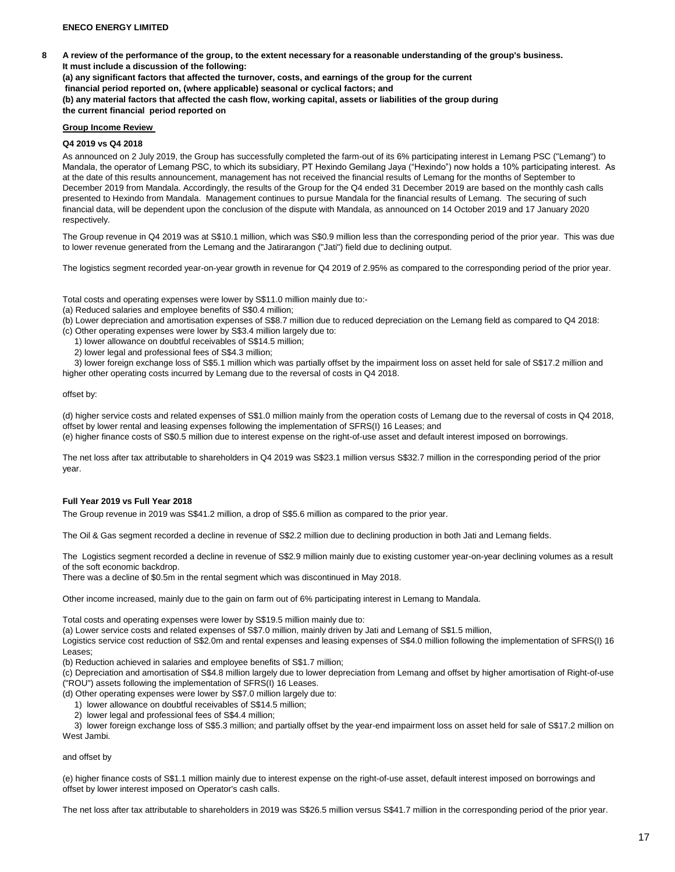**8 A review of the performance of the group, to the extent necessary for a reasonable understanding of the group's business. It must include a discussion of the following: (a) any significant factors that affected the turnover, costs, and earnings of the group for the current financial period reported on, (where applicable) seasonal or cyclical factors; and**

**(b) any material factors that affected the cash flow, working capital, assets or liabilities of the group during the current financial period reported on** 

## **Group Income Review**

## **Q4 2019 vs Q4 2018**

As announced on 2 July 2019, the Group has successfully completed the farm-out of its 6% participating interest in Lemang PSC ("Lemang") to Mandala, the operator of Lemang PSC, to which its subsidiary, PT Hexindo Gemilang Jaya ("Hexindo") now holds a 10% participating interest. As at the date of this results announcement, management has not received the financial results of Lemang for the months of September to December 2019 from Mandala. Accordingly, the results of the Group for the Q4 ended 31 December 2019 are based on the monthly cash calls presented to Hexindo from Mandala. Management continues to pursue Mandala for the financial results of Lemang. The securing of such financial data, will be dependent upon the conclusion of the dispute with Mandala, as announced on 14 October 2019 and 17 January 2020 respectively.

The Group revenue in Q4 2019 was at S\$10.1 million, which was S\$0.9 million less than the corresponding period of the prior year. This was due to lower revenue generated from the Lemang and the Jatirarangon ("Jati") field due to declining output.

The logistics segment recorded year-on-year growth in revenue for Q4 2019 of 2.95% as compared to the corresponding period of the prior year.

Total costs and operating expenses were lower by S\$11.0 million mainly due to:-

- (a) Reduced salaries and employee benefits of S\$0.4 million;
- (b) Lower depreciation and amortisation expenses of S\$8.7 million due to reduced depreciation on the Lemang field as compared to Q4 2018:

(c) Other operating expenses were lower by S\$3.4 million largely due to:

- 1) lower allowance on doubtful receivables of S\$14.5 million;
- 2) lower legal and professional fees of S\$4.3 million;

 3) lower foreign exchange loss of S\$5.1 million which was partially offset by the impairment loss on asset held for sale of S\$17.2 million and higher other operating costs incurred by Lemang due to the reversal of costs in Q4 2018.

### offset by:

(d) higher service costs and related expenses of S\$1.0 million mainly from the operation costs of Lemang due to the reversal of costs in Q4 2018, offset by lower rental and leasing expenses following the implementation of SFRS(I) 16 Leases; and (e) higher finance costs of S\$0.5 million due to interest expense on the right-of-use asset and default interest imposed on borrowings.

The net loss after tax attributable to shareholders in Q4 2019 was S\$23.1 million versus S\$32.7 million in the corresponding period of the prior year.

## **Full Year 2019 vs Full Year 2018**

The Group revenue in 2019 was S\$41.2 million, a drop of S\$5.6 million as compared to the prior year.

The Oil & Gas segment recorded a decline in revenue of S\$2.2 million due to declining production in both Jati and Lemang fields.

The Logistics segment recorded a decline in revenue of S\$2.9 million mainly due to existing customer year-on-year declining volumes as a result of the soft economic backdrop.

There was a decline of \$0.5m in the rental segment which was discontinued in May 2018.

Other income increased, mainly due to the gain on farm out of 6% participating interest in Lemang to Mandala.

Total costs and operating expenses were lower by S\$19.5 million mainly due to:

(a) Lower service costs and related expenses of S\$7.0 million, mainly driven by Jati and Lemang of S\$1.5 million,

Logistics service cost reduction of S\$2.0m and rental expenses and leasing expenses of S\$4.0 million following the implementation of SFRS(I) 16 Leases;

(b) Reduction achieved in salaries and employee benefits of S\$1.7 million;

(c) Depreciation and amortisation of S\$4.8 million largely due to lower depreciation from Lemang and offset by higher amortisation of Right-of-use ("ROU") assets following the implementation of SFRS(I) 16 Leases.

(d) Other operating expenses were lower by S\$7.0 million largely due to:

- 1) lower allowance on doubtful receivables of S\$14.5 million;
- 2) lower legal and professional fees of S\$4.4 million;

 3) lower foreign exchange loss of S\$5.3 million; and partially offset by the year-end impairment loss on asset held for sale of S\$17.2 million on West Jambi.

## and offset by

(e) higher finance costs of S\$1.1 million mainly due to interest expense on the right-of-use asset, default interest imposed on borrowings and offset by lower interest imposed on Operator's cash calls.

The net loss after tax attributable to shareholders in 2019 was S\$26.5 million versus S\$41.7 million in the corresponding period of the prior year.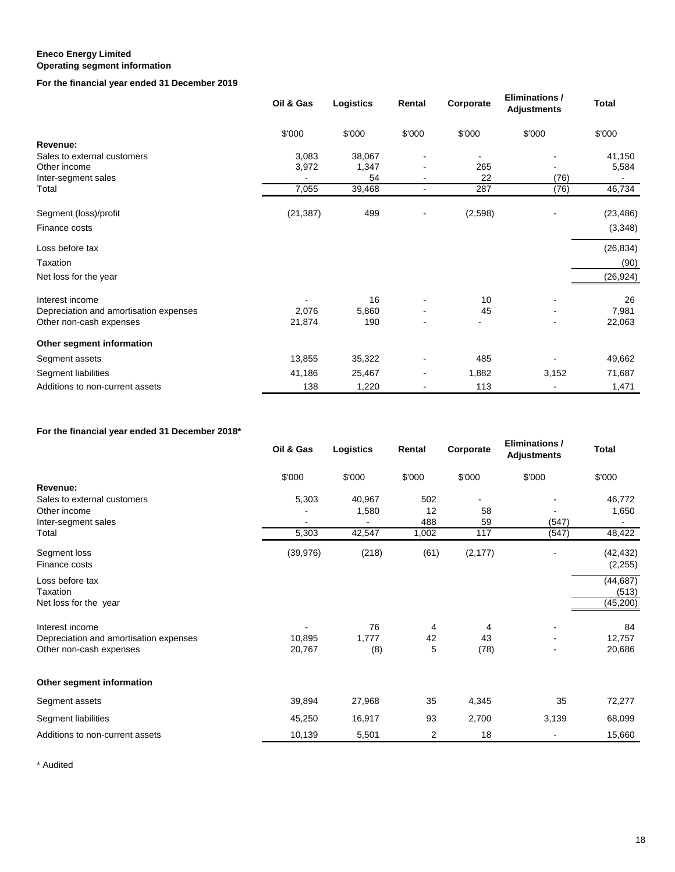## **Eneco Energy Limited Operating segment information**

## **For the financial year ended 31 December 2019**

|                                        | Oil & Gas | Logistics | Rental         | Corporate | <b>Eliminations /</b><br><b>Adjustments</b> | <b>Total</b> |
|----------------------------------------|-----------|-----------|----------------|-----------|---------------------------------------------|--------------|
|                                        | \$'000    | \$'000    | \$'000         | \$'000    | \$'000                                      | \$'000       |
| Revenue:                               |           |           |                |           |                                             |              |
| Sales to external customers            | 3,083     | 38,067    |                |           |                                             | 41,150       |
| Other income                           | 3,972     | 1,347     |                | 265       |                                             | 5,584        |
| Inter-segment sales                    |           | 54        |                | 22        | (76)                                        |              |
| Total                                  | 7,055     | 39,468    | $\blacksquare$ | 287       | (76)                                        | 46,734       |
| Segment (loss)/profit                  | (21, 387) | 499       |                | (2,598)   |                                             | (23, 486)    |
| Finance costs                          |           |           |                |           |                                             | (3,348)      |
| Loss before tax                        |           |           |                |           |                                             | (26, 834)    |
| Taxation                               |           |           |                |           |                                             | (90)         |
| Net loss for the year                  |           |           |                |           |                                             | (26, 924)    |
| Interest income                        |           | 16        |                | 10        |                                             | 26           |
| Depreciation and amortisation expenses | 2,076     | 5,860     |                | 45        |                                             | 7,981        |
| Other non-cash expenses                | 21,874    | 190       |                |           |                                             | 22,063       |
| Other segment information              |           |           |                |           |                                             |              |
| Segment assets                         | 13,855    | 35,322    |                | 485       |                                             | 49,662       |
| Segment liabilities                    | 41,186    | 25,467    |                | 1,882     | 3,152                                       | 71,687       |
| Additions to non-current assets        | 138       | 1,220     |                | 113       |                                             | 1,471        |

# **For the financial year ended 31 December 2018\***

|                                        | Oil & Gas | Logistics | Rental | Corporate | <b>Eliminations /</b><br><b>Adjustments</b> | <b>Total</b> |
|----------------------------------------|-----------|-----------|--------|-----------|---------------------------------------------|--------------|
|                                        | \$'000    | \$'000    | \$'000 | \$'000    | \$'000                                      | \$'000       |
| Revenue:                               |           |           |        |           |                                             |              |
| Sales to external customers            | 5,303     | 40,967    | 502    |           |                                             | 46,772       |
| Other income                           |           | 1,580     | 12     | 58        |                                             | 1,650        |
| Inter-segment sales                    |           |           | 488    | 59        | (547)                                       |              |
| Total                                  | 5,303     | 42,547    | 1,002  | 117       | (547)                                       | 48,422       |
| Segment loss                           | (39, 976) | (218)     | (61)   | (2, 177)  |                                             | (42, 432)    |
| Finance costs                          |           |           |        |           |                                             | (2,255)      |
| Loss before tax                        |           |           |        |           |                                             | (44, 687)    |
| Taxation                               |           |           |        |           |                                             | (513)        |
| Net loss for the year                  |           |           |        |           |                                             | (45,200)     |
| Interest income                        |           | 76        | 4      | 4         |                                             | 84           |
| Depreciation and amortisation expenses | 10,895    | 1,777     | 42     | 43        |                                             | 12,757       |
| Other non-cash expenses                | 20,767    | (8)       | 5      | (78)      |                                             | 20,686       |
| Other segment information              |           |           |        |           |                                             |              |
| Segment assets                         | 39,894    | 27,968    | 35     | 4,345     | 35                                          | 72,277       |
| Segment liabilities                    | 45,250    | 16,917    | 93     | 2,700     | 3,139                                       | 68,099       |
| Additions to non-current assets        | 10,139    | 5,501     | 2      | 18        |                                             | 15,660       |

\* Audited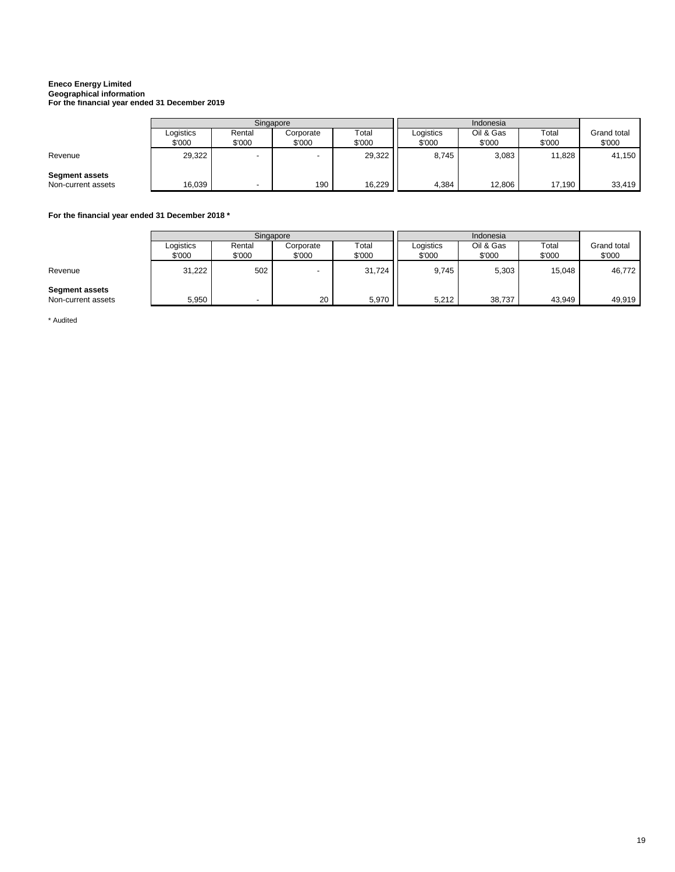# **Eneco Energy Limited Geographical information For the financial year ended 31 December 2019**

ř.

|                       | Singapore           |                          |                     |                 |                     |                     |                 |                       |
|-----------------------|---------------------|--------------------------|---------------------|-----------------|---------------------|---------------------|-----------------|-----------------------|
|                       | Logistics<br>\$'000 | Rental<br>\$'000         | Corporate<br>\$'000 | Total<br>\$'000 | Logistics<br>\$'000 | Oil & Gas<br>\$'000 | Total<br>\$'000 | Grand total<br>\$'000 |
|                       |                     |                          |                     |                 |                     |                     |                 |                       |
| Revenue               | 29,322              | $\overline{\phantom{0}}$ |                     | 29,322          | 8.745               | 3,083               | 11,828          | 41,150                |
| <b>Segment assets</b> |                     |                          |                     |                 |                     |                     |                 |                       |
| Non-current assets    | 16,039              | $\overline{\phantom{a}}$ | 190                 | 16,229          | 4.384               | 12,806              | 17,190          | 33,419                |

## **For the financial year ended 31 December 2018 \***

|                                             | Singapore           |                          |                          |                 |                     |                     |                 |                              |
|---------------------------------------------|---------------------|--------------------------|--------------------------|-----------------|---------------------|---------------------|-----------------|------------------------------|
|                                             | Logistics<br>\$'000 | Rental<br>\$'000         | Corporate<br>\$'000      | Total<br>\$'000 | Logistics<br>\$'000 | Oil & Gas<br>\$'000 | Total<br>\$'000 | <b>Grand total</b><br>\$'000 |
| Revenue                                     | 31,222              | 502                      | $\overline{\phantom{0}}$ | 31,724          | 9.745               | 5,303               | 15,048          | 46,772                       |
| <b>Segment assets</b><br>Non-current assets | 5,950               | $\overline{\phantom{a}}$ | 20                       | 5,970           | 5,212               | 38,737              | 43,949          | 49.919                       |

\* Audited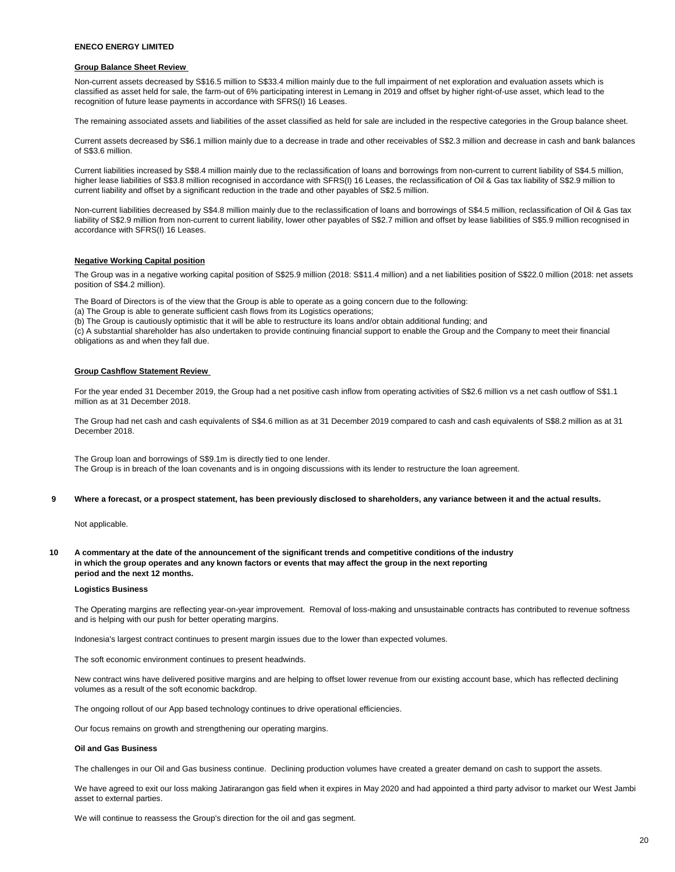## **Group Balance Sheet Review**

Non-current assets decreased by S\$16.5 million to S\$33.4 million mainly due to the full impairment of net exploration and evaluation assets which is classified as asset held for sale, the farm-out of 6% participating interest in Lemang in 2019 and offset by higher right-of-use asset, which lead to the recognition of future lease payments in accordance with SFRS(I) 16 Leases.

The remaining associated assets and liabilities of the asset classified as held for sale are included in the respective categories in the Group balance sheet.

Current assets decreased by S\$6.1 million mainly due to a decrease in trade and other receivables of S\$2.3 million and decrease in cash and bank balances of S\$3.6 million.

Current liabilities increased by S\$8.4 million mainly due to the reclassification of loans and borrowings from non-current to current liability of S\$4.5 million, higher lease liabilities of S\$3.8 million recognised in accordance with SFRS(I) 16 Leases, the reclassification of Oil & Gas tax liability of S\$2.9 million to current liability and offset by a significant reduction in the trade and other payables of S\$2.5 million.

Non-current liabilities decreased by S\$4.8 million mainly due to the reclassification of loans and borrowings of S\$4.5 million, reclassification of Oil & Gas tax liability of S\$2.9 million from non-current to current liability, lower other payables of S\$2.7 million and offset by lease liabilities of S\$5.9 million recognised in accordance with SFRS(I) 16 Leases.

#### **Negative Working Capital position**

The Group was in a negative working capital position of S\$25.9 million (2018: S\$11.4 million) and a net liabilities position of S\$22.0 million (2018: net assets position of S\$4.2 million).

The Board of Directors is of the view that the Group is able to operate as a going concern due to the following:

(a) The Group is able to generate sufficient cash flows from its Logistics operations;

(b) The Group is cautiously optimistic that it will be able to restructure its loans and/or obtain additional funding; and

(c) A substantial shareholder has also undertaken to provide continuing financial support to enable the Group and the Company to meet their financial obligations as and when they fall due.

#### **Group Cashflow Statement Review**

For the year ended 31 December 2019, the Group had a net positive cash inflow from operating activities of S\$2.6 million vs a net cash outflow of S\$1.1 million as at 31 December 2018.

The Group had net cash and cash equivalents of S\$4.6 million as at 31 December 2019 compared to cash and cash equivalents of S\$8.2 million as at 31 December 2018.

The Group loan and borrowings of S\$9.1m is directly tied to one lender. The Group is in breach of the loan covenants and is in ongoing discussions with its lender to restructure the loan agreement.

**9 Where a forecast, or a prospect statement, has been previously disclosed to shareholders, any variance between it and the actual results.**

Not applicable.

**10 A commentary at the date of the announcement of the significant trends and competitive conditions of the industry in which the group operates and any known factors or events that may affect the group in the next reporting period and the next 12 months.** 

#### **Logistics Business**

The Operating margins are reflecting year-on-year improvement. Removal of loss-making and unsustainable contracts has contributed to revenue softness and is helping with our push for better operating margins.

Indonesia's largest contract continues to present margin issues due to the lower than expected volumes.

The soft economic environment continues to present headwinds.

New contract wins have delivered positive margins and are helping to offset lower revenue from our existing account base, which has reflected declining volumes as a result of the soft economic backdrop.

The ongoing rollout of our App based technology continues to drive operational efficiencies.

Our focus remains on growth and strengthening our operating margins.

#### **Oil and Gas Business**

The challenges in our Oil and Gas business continue. Declining production volumes have created a greater demand on cash to support the assets.

We have agreed to exit our loss making Jatirarangon gas field when it expires in May 2020 and had appointed a third party advisor to market our West Jambi asset to external parties.

We will continue to reassess the Group's direction for the oil and gas segment.